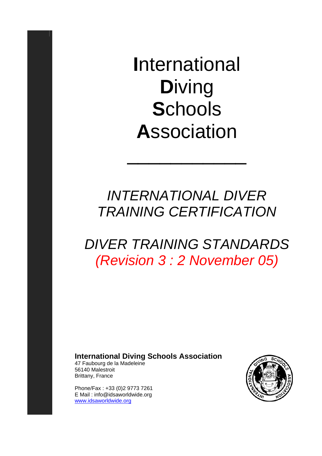**I**nternational **D**iving **S**chools **A**ssociation

## *INTERNATIONAL DIVER TRAINING CERTIFICATION*

 $\overline{\phantom{a}}$  , where  $\overline{\phantom{a}}$ 

## *DIVER TRAINING STANDARDS (Revision 3 : 2 November 05)*

## **International Diving Schools Association**

47 Faubourg de la Madeleine 56140 Malestroit Brittany, France

Phone/Fax : +33 (0)2 9773 7261 E Mail : info@idsaworldwide.org www.idsaworldwide.org

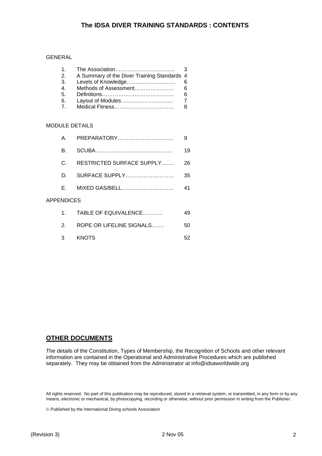#### GENERAL

| A Summary of the Diver Training Standards 4 |                                              |
|---------------------------------------------|----------------------------------------------|
|                                             |                                              |
|                                             |                                              |
|                                             |                                              |
|                                             |                                              |
|                                             |                                              |
|                                             | Levels of Knowledge<br>Methods of Assessment |

#### MODULE DETAILS

| A          | PREPARATORY               | 9  |
|------------|---------------------------|----|
| B.         |                           | 19 |
| C.         | RESTRICTED SURFACE SUPPLY | 26 |
| D.         | SURFACE SUPPLY            | 35 |
| F.         |                           | 41 |
| APPENDICES |                           |    |
| 1.         | TABLE OF EQUIVALENCE      | 49 |
| 2          | ROPE OR LIFELINE SIGNALS  | 50 |
| 3          | <b>KNOTS</b>              | 52 |

### **OTHER DOCUMENTS**

The details of the Constitution, Types of Membership, the Recognition of Schools and other relevant information are contained in the Operational and Administrative Procedures which are published separately. They may be obtained from the Administrator at info@idsaworldwide.org

All rights reserved. No part of this publication may be reproduced, stored in a retrieval system, or transmitted, in any form or by any means, electronic or mechanical, by photocopying, recording or otherwise, without prior permission in writing from the Publisher.

© Published by the International Diving schools Association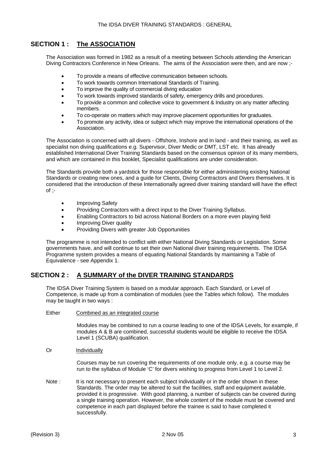## **SECTION 1 : The ASSOCIATION**

The Association was formed in 1982 as a result of a meeting between Schools attending the American Diving Contractors Conference in New Orleans. The aims of the Association were then, and are now ;-

- To provide a means of effective communication between schools.
- To work towards common International Standards of Training.
- To improve the quality of commercial diving education
- To work towards improved standards of safety, emergency drills and procedures.
- To provide a common and collective voice to government & Industry on any matter affecting members.
- To co-operate on matters which may improve placement opportunities for graduates.
- To promote any activity, idea or subject which may improve the international operations of the Association.

The Association is concerned with all divers - Offshore, Inshore and In land - and their training, as well as specialist non diving qualifications e.g. Supervisor, Diver Medic or DMT, LST etc. It has already established International Diver Training Standards based on the consensus opinion of its many members, and which are contained in this booklet, Specialist qualifications are under consideration.

The Standards provide both a yardstick for those responsible for either administering existing National Standards or creating new ones, and a guide for Clients, Diving Contractors and Divers themselves. It is considered that the introduction of these Internationally agreed diver training standard will have the effect of ;-

- Improving Safety
- Providing Contractors with a direct input to the Diver Training Syllabus.
- Enabling Contractors to bid across National Borders on a more even playing field
- Improving Diver quality
- Providing Divers with greater Job Opportunities

The programme is not intended to conflict with either National Diving Standards or Legislation. Some governments have, and will continue to set their own National diver training requirements. The IDSA Programme system provides a means of equating National Standards by maintaining a Table of Equivalence - see Appendix 1.

### **SECTION 2 : A SUMMARY of the DIVER TRAINING STANDARDS**

The IDSA Diver Training System is based on a modular approach. Each Standard, or Level of Competence, is made up from a combination of modules (see the Tables which follow). The modules may be taught in two ways :

Either Combined as an integrated course

Modules may be combined to run a course leading to one of the IDSA Levels, for example, if modules A & B are combined, successful students would be eligible to receive the IDSA Level 1 (SCUBA) qualification.

Or **Individually** 

Courses may be run covering the requirements of one module only, e.g. a course may be run to the syllabus of Module 'C' for divers wishing to progress from Level 1 to Level 2.

Note : It is not necessary to present each subject individually or in the order shown in these Standards. The order may be altered to suit the facilities, staff and equipment available, provided it is progressive. With good planning, a number of subjects can be covered during a single training operation. However, the whole content of the module must be covered and competence in each part displayed before the trainee is said to have completed it successfully.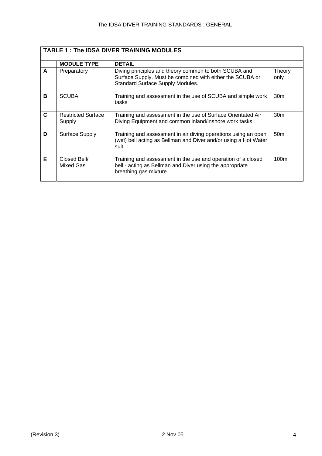|   | <b>TABLE 1: The IDSA DIVER TRAINING MODULES</b> |                                                                                                                                                        |                  |  |  |  |
|---|-------------------------------------------------|--------------------------------------------------------------------------------------------------------------------------------------------------------|------------------|--|--|--|
|   | <b>MODULE TYPE</b>                              | <b>DETAIL</b>                                                                                                                                          |                  |  |  |  |
| A | Preparatory                                     | Diving principles and theory common to both SCUBA and<br>Surface Supply. Must be combined with either the SCUBA or<br>Standard Surface Supply Modules. | Theory<br>only   |  |  |  |
| в | <b>SCUBA</b>                                    | Training and assessment in the use of SCUBA and simple work<br>tasks                                                                                   | 30 <sub>m</sub>  |  |  |  |
| C | <b>Restricted Surface</b><br>Supply             | Training and assessment in the use of Surface Orientated Air<br>Diving Equipment and common inland/inshore work tasks                                  | 30 <sub>m</sub>  |  |  |  |
| D | Surface Supply                                  | Training and assessment in air diving operations using an open<br>(wet) bell acting as Bellman and Diver and/or using a Hot Water<br>suit.             | 50 <sub>m</sub>  |  |  |  |
| Е | Closed Bell/<br>Mixed Gas                       | Training and assessment in the use and operation of a closed<br>bell - acting as Bellman and Diver using the appropriate<br>breathing gas mixture      | 100 <sub>m</sub> |  |  |  |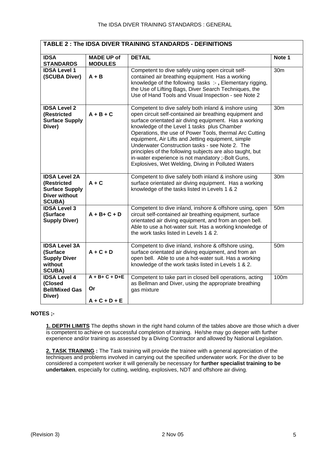| TABLE 2: The IDSA DIVER TRAINING STANDARDS - DEFINITIONS                                              |                                                                                                                                                                                                                                                                                                                                                                                                                                                                                                                                                                                     |                                                                                                                                                                                                                                                                                      |                 |  |  |
|-------------------------------------------------------------------------------------------------------|-------------------------------------------------------------------------------------------------------------------------------------------------------------------------------------------------------------------------------------------------------------------------------------------------------------------------------------------------------------------------------------------------------------------------------------------------------------------------------------------------------------------------------------------------------------------------------------|--------------------------------------------------------------------------------------------------------------------------------------------------------------------------------------------------------------------------------------------------------------------------------------|-----------------|--|--|
| <b>IDSA</b><br><b>STANDARDS</b>                                                                       | <b>MADE UP of</b><br><b>MODULES</b>                                                                                                                                                                                                                                                                                                                                                                                                                                                                                                                                                 | <b>DETAIL</b>                                                                                                                                                                                                                                                                        | Note 1          |  |  |
| <b>IDSA Level 1</b><br>(SCUBA Diver)                                                                  | $A + B$                                                                                                                                                                                                                                                                                                                                                                                                                                                                                                                                                                             | Competent to dive safely using open circuit self-<br>contained air breathing equipment. Has a working<br>knowledge of the following tasks :-, Elementary rigging,<br>the Use of Lifting Bags, Diver Search Techniques, the<br>Use of Hand Tools and Visual Inspection - see Note 2   | 30 <sub>m</sub> |  |  |
| <b>IDSA Level 2</b><br>(Restricted<br><b>Surface Supply</b><br>Diver)                                 | Competent to dive safely both inland & inshore using<br>$A + B + C$<br>open circuit self-contained air breathing equipment and<br>surface orientated air diving equipment. Has a working<br>knowledge of the Level 1 tasks plus Chamber<br>Operations, the use of Power Tools, thermal Arc Cutting<br>equipment, Air Lifts and Jetting equipment, simple<br>Underwater Construction tasks - see Note 2. The<br>principles of the following subjects are also taught, but<br>in-water experience is not mandatory ;-Bolt Guns,<br>Explosives, Wet Welding, Diving in Polluted Waters |                                                                                                                                                                                                                                                                                      |                 |  |  |
| <b>IDSA Level 2A</b><br>(Restricted<br><b>Surface Supply</b><br><b>Diver without</b><br><b>SCUBA)</b> | $A + C$                                                                                                                                                                                                                                                                                                                                                                                                                                                                                                                                                                             | Competent to dive safely both inland & inshore using<br>surface orientated air diving equipment. Has a working<br>knowledge of the tasks listed in Levels 1 & 2                                                                                                                      | 30 <sub>m</sub> |  |  |
| <b>IDSA Level 3</b><br>(Surface<br><b>Supply Diver)</b>                                               | $A + B + C + D$                                                                                                                                                                                                                                                                                                                                                                                                                                                                                                                                                                     | Competent to dive inland, inshore & offshore using, open<br>circuit self-contained air breathing equipment, surface<br>orientated air diving equipment, and from an open bell.<br>Able to use a hot-water suit. Has a working knowledge of<br>the work tasks listed in Levels 1 & 2. | 50 <sub>m</sub> |  |  |
| <b>IDSA Level 3A</b><br>(Surface<br><b>Supply Diver</b><br>without<br><b>SCUBA)</b>                   | $A + C + D$                                                                                                                                                                                                                                                                                                                                                                                                                                                                                                                                                                         | Competent to dive inland, inshore & offshore using,<br>surface orientated air diving equipment, and from an<br>open bell. Able to use a hot-water suit. Has a working<br>knowledge of the work tasks listed in Levels 1 & 2.                                                         | 50 <sub>m</sub> |  |  |
| <b>IDSA Level 4</b><br>(Closed<br><b>Bell/Mixed Gas</b><br>Diver)                                     | $A + B + C + D + E$<br><b>Or</b><br>$A + C + D + E$                                                                                                                                                                                                                                                                                                                                                                                                                                                                                                                                 | Competent to take part in closed bell operations, acting<br>as Bellman and Diver, using the appropriate breathing<br>gas mixture                                                                                                                                                     | 100m            |  |  |

#### **NOTES ;-**

**1. DEPTH LIMITS** The depths shown in the right hand column of the tables above are those which a diver is competent to achieve on successful completion of training. He/she may go deeper with further experience and/or training as assessed by a Diving Contractor and allowed by National Legislation.

**2. TASK TRAINING :** The Task training will provide the trainee with a general appreciation of the techniques and problems involved in carrying out the specified underwater work. For the diver to be considered a competent worker it will generally be necessary for **further specialist training to be undertaken**, especially for cutting, welding, explosives, NDT and offshore air diving.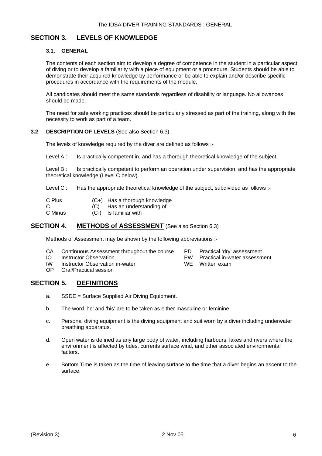## **SECTION 3. LEVELS OF KNOWLEDGE**

#### **3.1. GENERAL**

The contents of each section aim to develop a degree of competence in the student in a particular aspect of diving or to develop a familiarity with a piece of equipment or a procedure. Students should be able to demonstrate their acquired knowledge by performance or be able to explain and/or describe specific procedures in accordance with the requirements of the module.

All candidates should meet the same standards regardless of disability or language. No allowances should be made.

The need for safe working practices should be particularly stressed as part of the training, along with the necessity to work as part of a team.

#### **3.2 DESCRIPTION OF LEVELS** (See also Section 6.3)

The levels of knowledge required by the diver are defined as follows ;-

Level A : Is practically competent in, and has a thorough theoretical knowledge of the subject.

Level B : Is practically competent to perform an operation under supervision, and has the appropriate theoretical knowledge (Level C below).

Level C : Has the appropriate theoretical knowledge of the subject, subdivided as follows :-

| C Plus  | (C+) Has a thorough knowledge |
|---------|-------------------------------|
| C       | (C) Has an understanding of   |
| C Minus | (C-) Is familiar with         |

#### **SECTION 4. METHODS of ASSESSMENT** (See also Section 6.3)

Methods of Assessment may be shown by the following abbreviations ;-

- CA Continuous Assessment throughout the course PD Practical 'dry' assessment<br>IO Instructor Observation PW Practical in-water assessment
- 
- IO Instructor Observation<br>IW Instructor Observation in-water **PW Practical in-water assessment** IW Instructor Observation in-water<br>OP Oral/Practical session
- Oral/Practical session

### **SECTION 5. DEFINITIONS**

- a. SSDE = Surface Supplied Air Diving Equipment.
- b. The word 'he' and 'his' are to be taken as either masculine or feminine
- c. Personal diving equipment is the diving equipment and suit worn by a diver including underwater breathing apparatus.
- d. Open water is defined as any large body of water, including harbours, lakes and rivers where the environment is affected by tides, currents surface wind, and other associated environmental factors.
- e. Bottom Time is taken as the time of leaving surface to the time that a diver begins an ascent to the surface.
- 
-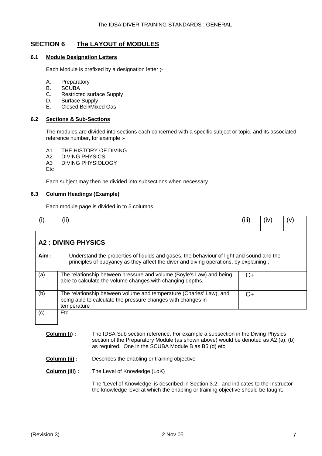## **SECTION 6 The LAYOUT of MODULES**

#### **6.1 Module Designation Letters**

Each Module is prefixed by a designation letter ;-

- A. Preparatory
- B. SCUBA
- C. Restricted surface Supply
- D. Surface Supply
- E. Closed Bell/Mixed Gas

#### **6.2 Sections & Sub-Sections**

The modules are divided into sections each concerned with a specific subject or topic, and its associated reference number, for example :-

A1 THE HISTORY OF DIVING

A2 DIVING PHYSICS<br>A3 DIVING PHYSIOL **DIVING PHYSIOLOGY** 

Etc

Each subject may then be divided into subsections when necessary.

#### **6.3 Column Headings (Example)**

Each module page is divided in to 5 columns

| (1)  | (ii)                                                                                                                                                                                | (iii) | (iv) | (v) |
|------|-------------------------------------------------------------------------------------------------------------------------------------------------------------------------------------|-------|------|-----|
|      | <b>A2: DIVING PHYSICS</b>                                                                                                                                                           |       |      |     |
| Aim: | Understand the properties of liquids and gases, the behaviour of light and sound and the<br>principles of buoyancy as they affect the diver and diving operations, by explaining ;- |       |      |     |
| (a)  | The relationship between pressure and volume (Boyle's Law) and being<br>able to calculate the volume changes with changing depths.                                                  | C+    |      |     |
| (b)  | The relationship between volume and temperature (Charles' Law), and<br>being able to calculate the pressure changes with changes in<br>temperature                                  | $C+$  |      |     |
| (c)  | <b>Etc</b>                                                                                                                                                                          |       |      |     |

- **Column (i) :** The IDSA Sub section reference. For example a subsection in the Diving Physics section of the Preparatory Module (as shown above) would be denoted as A2 (a), (b) as required. One in the SCUBA Module B as B5 (d) etc
- **Column (ii) :** Describes the enabling or training objective
- **Column (iii) :** The Level of Knowledge (LoK)

The 'Level of Knowledge' is described in Section 3.2. and indicates to the Instructor the knowledge level at which the enabling or training objective should be taught.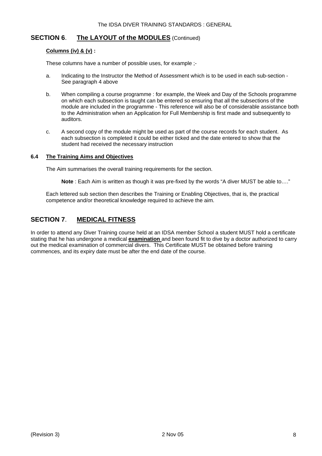### **SECTION 6**. **The LAYOUT of the MODULES** (Continued)

#### **Columns (iv) & (v) :**

These columns have a number of possible uses, for example ;-

- a. Indicating to the Instructor the Method of Assessment which is to be used in each sub-section See paragraph 4 above
- b. When compiling a course programme : for example, the Week and Day of the Schools programme on which each subsection is taught can be entered so ensuring that all the subsections of the module are included in the programme - This reference will also be of considerable assistance both to the Administration when an Application for Full Membership is first made and subsequently to auditors.
- c. A second copy of the module might be used as part of the course records for each student. As each subsection is completed it could be either ticked and the date entered to show that the student had received the necessary instruction

#### **6.4 The Training Aims and Objectives**

The Aim summarises the overall training requirements for the section.

**Note** : Each Aim is written as though it was pre-fixed by the words "A diver MUST be able to…."

Each lettered sub section then describes the Training or Enabling Objectives, that is, the practical competence and/or theoretical knowledge required to achieve the aim.

## **SECTION 7**. **MEDICAL FITNESS**

In order to attend any Diver Training course held at an IDSA member School a student MUST hold a certificate stating that he has undergone a medical **examination** and been found fit to dive by a doctor authorized to carry out the medical examination of commercial divers. This Certificate MUST be obtained before training commences, and its expiry date must be after the end date of the course.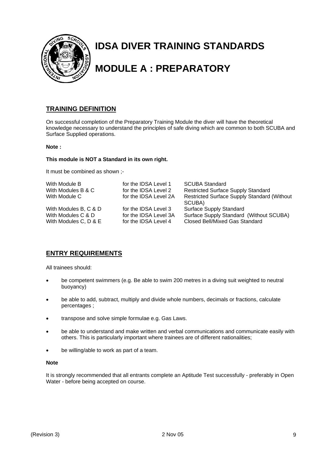

# **IDSA DIVER TRAINING STANDARDS**

## **MODULE A : PREPARATORY**

## **TRAINING DEFINITION**

On successful completion of the Preparatory Training Module the diver will have the theoretical knowledge necessary to understand the principles of safe diving which are common to both SCUBA and Surface Supplied operations.

#### **Note :**

#### **This module is NOT a Standard in its own right.**

It must be combined as shown ;-

| With Module B<br>With Modules B & C<br>With Module C | for the IDSA Level 1<br>for the IDSA Level 2<br>for the IDSA Level 2A | <b>SCUBA Standard</b><br><b>Restricted Surface Supply Standard</b><br><b>Restricted Surface Supply Standard (Without</b> |
|------------------------------------------------------|-----------------------------------------------------------------------|--------------------------------------------------------------------------------------------------------------------------|
|                                                      |                                                                       | SCUBA)                                                                                                                   |
| With Modules B, C & D                                | for the IDSA Level 3                                                  | <b>Surface Supply Standard</b>                                                                                           |
| With Modules C & D                                   | for the IDSA Level 3A                                                 | Surface Supply Standard (Without SCUBA)                                                                                  |
| With Modules C, D & E                                | for the IDSA Level 4                                                  | <b>Closed Bell/Mixed Gas Standard</b>                                                                                    |

## **ENTRY REQUIREMENTS**

All trainees should:

- be competent swimmers (e.g. Be able to swim 200 metres in a diving suit weighted to neutral buoyancy)
- be able to add, subtract, multiply and divide whole numbers, decimals or fractions, calculate percentages ;
- transpose and solve simple formulae e.g. Gas Laws.
- be able to understand and make written and verbal communications and communicate easily with others. This is particularly important where trainees are of different nationalities;
- be willing/able to work as part of a team.

#### **Note**

It is strongly recommended that all entrants complete an Aptitude Test successfully - preferably in Open Water - before being accepted on course.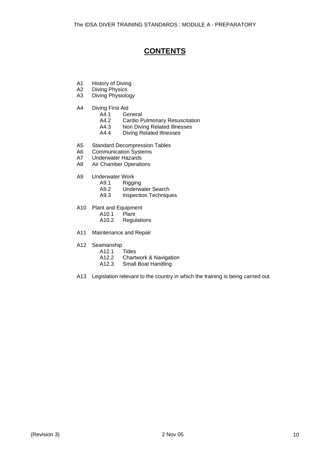## **CONTENTS**

- A1 History of Diving
- A2 Diving Physics
- A3 Diving Physiology
- A4 Diving First Aid
	- A4.1 General
	- A4.2 Cardio Pulmonary Resuscitation
	- A4.3 Non Diving Related Illnesses<br>A4.4 Diving Related Illnesses
	- Diving Related Illnesses
- A5 Standard Decompression Tables
- A6 Communication Systems
- A7 Underwater Hazards
- A8 Air Chamber Operations
- A9 Underwater Work
	- A9.1 Rigging<br>A9.2 Underwi
		- Underwater Search
		- A9.3 Inspection Techniques
- A10 Plant and Equipment
	- A10.1 Plant
	- A10.2 Regulations
- A11 Maintenance and Repair
- A12 Seamanship
	- A12.1 Tides<br>A12.2 Charty
	- A12.2 Chartwork & Navigation<br>A12.3 Small Boat Handling
	- Small Boat Handling
- A13 Legislation relevant to the country in which the training is being carried out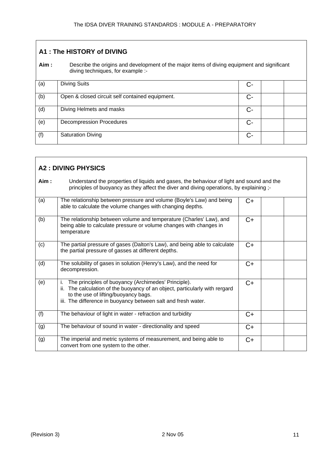| A1: The HISTORY of DIVING |                                                                                                                                  |    |  |  |  |
|---------------------------|----------------------------------------------------------------------------------------------------------------------------------|----|--|--|--|
| Aim:                      | Describe the origins and development of the major items of diving equipment and significant<br>diving techniques, for example :- |    |  |  |  |
| (a)                       | <b>Diving Suits</b>                                                                                                              | C- |  |  |  |
| (b)                       | Open & closed circuit self contained equipment.                                                                                  | C- |  |  |  |
| (d)                       | Diving Helmets and masks                                                                                                         | C- |  |  |  |
| (e)                       | <b>Decompression Procedures</b>                                                                                                  | C- |  |  |  |
| (f)                       | <b>Saturation Diving</b>                                                                                                         | C- |  |  |  |

| <b>A2: DIVING PHYSICS</b> |                                                                                                                                                                                                                                                   |      |  |  |
|---------------------------|---------------------------------------------------------------------------------------------------------------------------------------------------------------------------------------------------------------------------------------------------|------|--|--|
| Aim:                      | Understand the properties of liquids and gases, the behaviour of light and sound and the<br>principles of buoyancy as they affect the diver and diving operations, by explaining ;-                                                               |      |  |  |
| (a)                       | The relationship between pressure and volume (Boyle's Law) and being<br>able to calculate the volume changes with changing depths.                                                                                                                | C+   |  |  |
| (b)                       | The relationship between volume and temperature (Charles' Law), and<br>being able to calculate pressure or volume changes with changes in<br>temperature                                                                                          | $C+$ |  |  |
| (c)                       | The partial pressure of gases (Dalton's Law), and being able to calculate<br>the partial pressure of gasses at different depths.                                                                                                                  | $C+$ |  |  |
| (d)                       | The solubility of gases in solution (Henry's Law), and the need for<br>decompression.                                                                                                                                                             | $C+$ |  |  |
| (e)                       | The principles of buoyancy (Archimedes' Principle).<br>i.<br>ii. The calculation of the buoyancy of an object, particularly with rergard<br>to the use of lifting/buoyancy bags.<br>iii. The difference in buoyancy between salt and fresh water. | $C+$ |  |  |
| (f)                       | The behaviour of light in water - refraction and turbidity                                                                                                                                                                                        | $C+$ |  |  |
| (g)                       | The behaviour of sound in water - directionality and speed                                                                                                                                                                                        | $C+$ |  |  |
| (g)                       | The imperial and metric systems of measurement, and being able to<br>convert from one system to the other.                                                                                                                                        | $C+$ |  |  |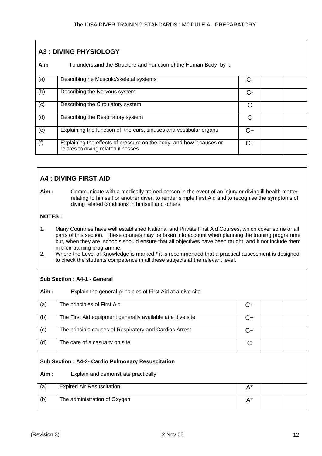| <b>A3: DIVING PHYSIOLOGY</b> |                                                                                                             |      |  |  |
|------------------------------|-------------------------------------------------------------------------------------------------------------|------|--|--|
| Aim                          | To understand the Structure and Function of the Human Body by:                                              |      |  |  |
| (a)                          | Describing he Musculo/skeletal systems                                                                      |      |  |  |
| (b)                          | Describing the Nervous system                                                                               | С-   |  |  |
| (c)                          | Describing the Circulatory system                                                                           | С    |  |  |
| (d)                          | Describing the Respiratory system                                                                           | C    |  |  |
| (e)                          | Explaining the function of the ears, sinuses and vestibular organs                                          | C+   |  |  |
| (f)                          | Explaining the effects of pressure on the body, and how it causes or<br>relates to diving related illnesses | $C+$ |  |  |

## **A4 : DIVING FIRST AID**

**Aim :** Communicate with a medically trained person in the event of an injury or diving ill health matter relating to himself or another diver, to render simple First Aid and to recognise the symptoms of diving related conditions in himself and others.

## **NOTES :**

- 1. Many Countries have well established National and Private First Aid Courses, which cover some or all parts of this section. These courses may be taken into account when planning the training programme but, when they are, schools should ensure that all objectives have been taught, and if not include them in their training programme.
- 2. Where the Level of Knowledge is marked **\*** it is recommended that a practical assessment is designed to check the students competence in all these subjects at the relevant level.

### **Sub Section : A4-1 - General**

**Aim :** Explain the general principles of First Aid at a dive site.

| (a)                                                      | The principles of First Aid                                | C+    |  |  |  |
|----------------------------------------------------------|------------------------------------------------------------|-------|--|--|--|
| (b)                                                      | The First Aid equipment generally available at a dive site | $C+$  |  |  |  |
| (c)                                                      | The principle causes of Respiratory and Cardiac Arrest     | C+    |  |  |  |
| (d)                                                      | The care of a casualty on site.                            | C     |  |  |  |
| <b>Sub Section: A4-2- Cardio Pulmonary Resuscitation</b> |                                                            |       |  |  |  |
| Aim:                                                     | Explain and demonstrate practically                        |       |  |  |  |
| (a)                                                      | <b>Expired Air Resuscitation</b>                           | $A^*$ |  |  |  |
| (b)                                                      | The administration of Oxygen                               | $A^*$ |  |  |  |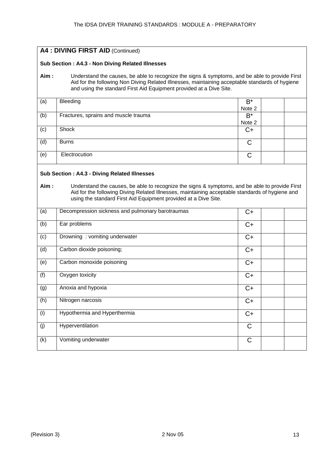| A4 : DIVING FIRST AID (Continued) |                                                                                                                                                                                                                                                                                                                             |                 |  |  |  |  |
|-----------------------------------|-----------------------------------------------------------------------------------------------------------------------------------------------------------------------------------------------------------------------------------------------------------------------------------------------------------------------------|-----------------|--|--|--|--|
|                                   | Sub Section: A4.3 - Non Diving Related Illnesses                                                                                                                                                                                                                                                                            |                 |  |  |  |  |
| Aim:                              | Understand the causes, be able to recognize the signs & symptoms, and be able to provide First<br>Aid for the following Non Diving Related Illnesses, maintaining acceptable standards of hygiene<br>and using the standard First Aid Equipment provided at a Dive Site.                                                    |                 |  |  |  |  |
| (a)                               | Bleeding                                                                                                                                                                                                                                                                                                                    | $B^*$<br>Note 2 |  |  |  |  |
| (b)                               | Fractures, sprains and muscle trauma                                                                                                                                                                                                                                                                                        | $B^*$<br>Note 2 |  |  |  |  |
| (c)                               | Shock                                                                                                                                                                                                                                                                                                                       | $C+$            |  |  |  |  |
| (d)                               | <b>Burns</b>                                                                                                                                                                                                                                                                                                                | C               |  |  |  |  |
| (e)                               | Electrocution                                                                                                                                                                                                                                                                                                               | $\mathsf{C}$    |  |  |  |  |
| Aim:                              | <b>Sub Section: A4.3 - Diving Related Illnesses</b><br>Understand the causes, be able to recognize the signs & symptoms, and be able to provide First<br>Aid for the following Diving Related Illnesses, maintaining acceptable standards of hygiene and<br>using the standard First Aid Equipment provided at a Dive Site. |                 |  |  |  |  |
| (a)                               | Decompression sickness and pulmonary barotraumas                                                                                                                                                                                                                                                                            | $C+$            |  |  |  |  |
| (b)                               | Ear problems                                                                                                                                                                                                                                                                                                                | C+              |  |  |  |  |
| (c)                               | Drowning: vomiting underwater                                                                                                                                                                                                                                                                                               | $C+$            |  |  |  |  |
| (d)                               | Carbon dioxide poisoning;                                                                                                                                                                                                                                                                                                   | $C+$            |  |  |  |  |
| (e)                               | Carbon monoxide poisoning                                                                                                                                                                                                                                                                                                   | C+              |  |  |  |  |
| (f)                               | Oxygen toxicity                                                                                                                                                                                                                                                                                                             | C+              |  |  |  |  |
| (g)                               | Anoxia and hypoxia                                                                                                                                                                                                                                                                                                          | $C+$            |  |  |  |  |
| (h)                               | Nitrogen narcosis                                                                                                                                                                                                                                                                                                           | $C+$            |  |  |  |  |
| (i)                               | Hypothermia and Hyperthermia                                                                                                                                                                                                                                                                                                | $C+$            |  |  |  |  |
| (j)                               | Hyperventilation                                                                                                                                                                                                                                                                                                            | $\mathsf C$     |  |  |  |  |
| (k)                               | Vomiting underwater                                                                                                                                                                                                                                                                                                         | $\mathsf C$     |  |  |  |  |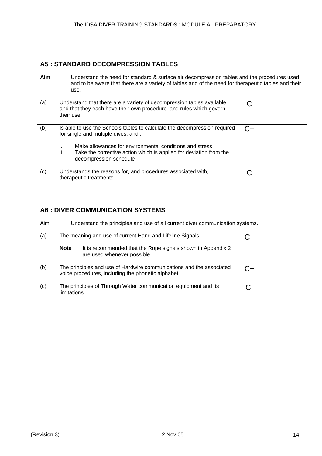## **A5 : STANDARD DECOMPRESSION TABLES**

**Aim** Understand the need for standard & surface air decompression tables and the procedures used, and to be aware that there are a variety of tables and of the need for therapeutic tables and their use.

| (a) | Understand that there are a variety of decompression tables available,<br>and that they each have their own procedure and rules which govern<br>their use.                                                                                                                                 |    |  |
|-----|--------------------------------------------------------------------------------------------------------------------------------------------------------------------------------------------------------------------------------------------------------------------------------------------|----|--|
| (b) | Is able to use the Schools tables to calculate the decompression required<br>for single and multiple dives, and ;-<br>Make allowances for environmental conditions and stress<br>ь.<br>ii.<br>Take the corrective action which is applied for deviation from the<br>decompression schedule | C+ |  |
| (c) | Understands the reasons for, and procedures associated with,<br>therapeutic treatments                                                                                                                                                                                                     |    |  |

|     | <b>A6 : DIVER COMMUNICATION SYSTEMS</b>                                                                                                                          |        |  |  |  |
|-----|------------------------------------------------------------------------------------------------------------------------------------------------------------------|--------|--|--|--|
| Aim | Understand the principles and use of all current diver communication systems.                                                                                    |        |  |  |  |
| (a) | The meaning and use of current Hand and Lifeline Signals.<br>It is recommended that the Rope signals shown in Appendix 2<br>Note:<br>are used whenever possible. | $( )+$ |  |  |  |
| (b) | The principles and use of Hardwire communications and the associated<br>voice procedures, including the phonetic alphabet.                                       | C+     |  |  |  |
| (c) | The principles of Through Water communication equipment and its<br>limitations.                                                                                  |        |  |  |  |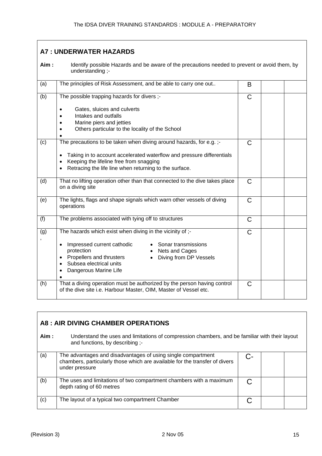| <b>A7: UNDERWATER HAZARDS</b> |                                                                                                                                                                                                                       |               |  |  |
|-------------------------------|-----------------------------------------------------------------------------------------------------------------------------------------------------------------------------------------------------------------------|---------------|--|--|
| Aim:                          | Identify possible Hazards and be aware of the precautions needed to prevent or avoid them, by<br>understanding ;-                                                                                                     |               |  |  |
| (a)                           | The principles of Risk Assessment, and be able to carry one out                                                                                                                                                       | B             |  |  |
| (b)                           | The possible trapping hazards for divers ;-                                                                                                                                                                           | C             |  |  |
|                               | Gates, sluices and culverts<br>$\bullet$<br>Intakes and outfalls<br>Marine piers and jetties<br>Others particular to the locality of the School                                                                       |               |  |  |
| (c)                           | The precautions to be taken when diving around hazards, for e.g. ;-                                                                                                                                                   | $\mathcal{C}$ |  |  |
|                               | Taking in to account accelerated waterflow and pressure differentials<br>Keeping the lifeline free from snagging<br>Retracing the life line when returning to the surface.                                            |               |  |  |
| (d)                           | That no lifting operation other than that connected to the dive takes place<br>on a diving site                                                                                                                       | $\mathsf{C}$  |  |  |
| (e)                           | The lights, flags and shape signals which warn other vessels of diving<br>operations                                                                                                                                  | $\mathsf{C}$  |  |  |
| (f)                           | The problems associated with tying off to structures                                                                                                                                                                  | $\mathsf{C}$  |  |  |
| (g)                           | The hazards which exist when diving in the vicinity of ;-                                                                                                                                                             | $\mathsf{C}$  |  |  |
|                               | Impressed current cathodic<br>Sonar transmissions<br>$\bullet$<br>protection<br>Nets and Cages<br>Propellers and thrusters<br>Diving from DP Vessels<br>$\bullet$<br>Subsea electrical units<br>Dangerous Marine Life |               |  |  |
| (h)                           | That a diving operation must be authorized by the person having control<br>of the dive site i.e. Harbour Master, OIM, Master of Vessel etc.                                                                           | $\mathsf{C}$  |  |  |

| A8 : AIR DIVING CHAMBER OPERATIONS |                                                                                                                                                               |    |  |  |  |
|------------------------------------|---------------------------------------------------------------------------------------------------------------------------------------------------------------|----|--|--|--|
| Aim:                               | Understand the uses and limitations of compression chambers, and be familiar with their layout<br>and functions, by describing ;-                             |    |  |  |  |
| (a)                                | The advantages and disadvantages of using single compartment<br>chambers, particularly those which are available for the transfer of divers<br>under pressure | C- |  |  |  |
| (b)                                | The uses and limitations of two compartment chambers with a maximum<br>depth rating of 60 metres                                                              |    |  |  |  |
| (c)                                | The layout of a typical two compartment Chamber                                                                                                               |    |  |  |  |

 $\mathsf{r}$ 

 $\overline{\phantom{0}}$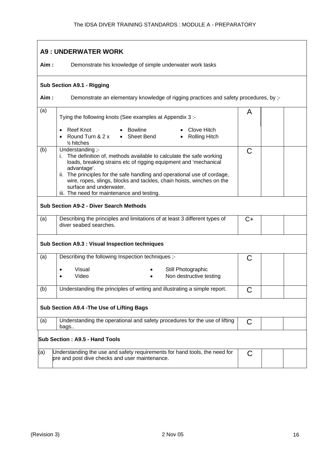## **A9 : UNDERWATER WORK Aim :** Demonstrate his knowledge of simple underwater work tasks **Sub Section A9.1 - Rigging** Aim : Demonstrate an elementary knowledge of rigging practices and safety procedures, by ;-(a) Tying the following knots (See examples at Appendix 3 :- A • Reef Knot • Round Turn & 2 x ½ hitches • Bowline • Sheet Bend • Clove Hitch • Rolling Hitch (b) Understanding ; i. The definition of, methods available to calculate the safe working loads, breaking strains etc of rigging equipment and 'mechanical advantage'. ii. The principles for the safe handling and operational use of cordage, wire, ropes, slings, blocks and tackles, chain hoists, winches on the surface and underwater. iii. The need for maintenance and testing.  $\mathsf{C}$ **Sub Section A9-2 - Diver Search Methods**  (a) Describing the principles and limitations of at least 3 different types of diver seabed searches.  $C+$ **Sub Section A9.3 : Visual Inspection techniques**  (a) Describing the following Inspection techniques ;- C • Visual • Video Still Photographic • Non destructive testing (b) Understanding the principles of writing and illustrating a simple report.  $\boxed{C}$ **Sub Section A9.4 -The Use of Lifting Bags**  (a) Understanding the operational and safety procedures for the use of lifting bags..  $\mathcal{C}$ **Sub Section : A9.5 - Hand Tools**  (a) Understanding the use and safety requirements for hand tools, the need for pre and post dive checks and user maintenance.  $\mathcal C$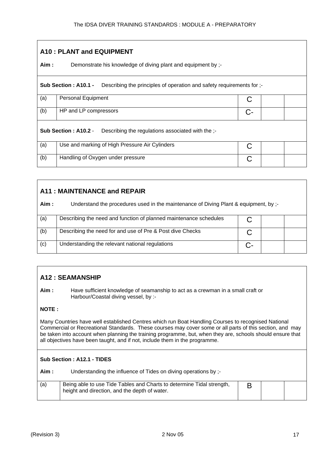## **A10 : PLANT and EQUIPMENT Aim :** Demonstrate his knowledge of diving plant and equipment by :-**Sub Section : A10.1 -** Describing the principles of operation and safety requirements for ;- (a) Personal Equipment C (b) HP and LP compressors C-**Sub Section : A10.2** - Describing the regulations associated with the ;-(a) Use and marking of High Pressure Air Cylinders C (b) Handling of Oxygen under pressure C

## **A11 : MAINTENANCE and REPAIR**

| Aim : | Understand the procedures used in the maintenance of Diving Plant & equipment, by ;- |  |  |
|-------|--------------------------------------------------------------------------------------|--|--|
| (a)   | Describing the need and function of planned maintenance schedules                    |  |  |
| (b)   | Describing the need for and use of Pre & Post dive Checks                            |  |  |
| (c)   | Understanding the relevant national regulations                                      |  |  |

## **A12 : SEAMANSHIP**

**Aim :** Have sufficient knowledge of seamanship to act as a crewman in a small craft or Harbour/Coastal diving vessel, by :-

### **NOTE :**

Many Countries have well established Centres which run Boat Handling Courses to recognised National Commercial or Recreational Standards. These courses may cover some or all parts of this section, and may be taken into account when planning the training programme, but, when they are, schools should ensure that all objectives have been taught, and if not, include them in the programme.

### **Sub Section : A12.1 - TIDES**

Aim : Understanding the influence of Tides on diving operations by ;-

| (a) | Being able to use Tide Tables and Charts to determine Tidal strength,<br>height and direction, and the depth of water. |  |  |
|-----|------------------------------------------------------------------------------------------------------------------------|--|--|
|     |                                                                                                                        |  |  |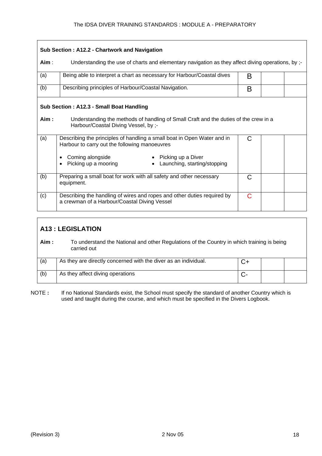| Sub Section: A12.2 - Chartwork and Navigation |                                                                                                                                                                                                                            |   |  |  |
|-----------------------------------------------|----------------------------------------------------------------------------------------------------------------------------------------------------------------------------------------------------------------------------|---|--|--|
| Aim :                                         | Understanding the use of charts and elementary navigation as they affect diving operations, by ;-                                                                                                                          |   |  |  |
| (a)                                           | Being able to interpret a chart as necessary for Harbour/Coastal dives                                                                                                                                                     | B |  |  |
| (b)                                           | Describing principles of Harbour/Coastal Navigation.                                                                                                                                                                       | B |  |  |
|                                               | Sub Section: A12.3 - Small Boat Handling                                                                                                                                                                                   |   |  |  |
| Aim :                                         | Understanding the methods of handling of Small Craft and the duties of the crew in a<br>Harbour/Coastal Diving Vessel, by ;-                                                                                               |   |  |  |
| (a)                                           | Describing the principles of handling a small boat in Open Water and in<br>Harbour to carry out the following manoeuvres<br>Picking up a Diver<br>Coming alongside<br>Picking up a mooring<br>Launching, starting/stopping | C |  |  |
| (b)                                           | Preparing a small boat for work with all safety and other necessary<br>equipment.                                                                                                                                          | C |  |  |
| (c)                                           | Describing the handling of wires and ropes and other duties required by<br>a crewman of a Harbour/Coastal Diving Vessel                                                                                                    | C |  |  |

## **A13 : LEGISLATION**

| Aim : | To understand the National and other Regulations of the Country in which training is being<br>carried out |    |  |
|-------|-----------------------------------------------------------------------------------------------------------|----|--|
| (a)   | As they are directly concerned with the diver as an individual.                                           | C+ |  |
| (b)   | As they affect diving operations                                                                          |    |  |

NOTE : If no National Standards exist, the School must specify the standard of another Country which is used and taught during the course, and which must be specified in the Divers Logbook.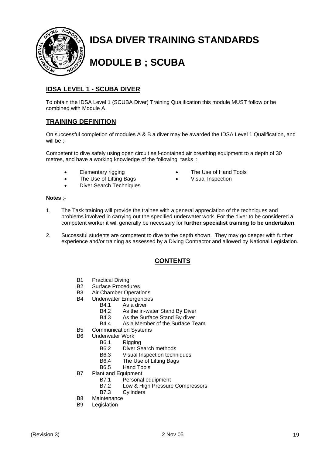

## **IDSA DIVER TRAINING STANDARDS**

## **MODULE B ; SCUBA**

## **IDSA LEVEL 1 - SCUBA DIVER**

To obtain the IDSA Level 1 (SCUBA Diver) Training Qualification this module MUST follow or be combined with Module A

## **TRAINING DEFINITION**

On successful completion of modules A & B a diver may be awarded the IDSA Level 1 Qualification, and will be ;-

> • The Use of Hand Tools • Visual Inspection

Competent to dive safely using open circuit self-contained air breathing equipment to a depth of 30 metres, and have a working knowledge of the following tasks :

- Elementary rigging
- The Use of Lifting Bags
- Diver Search Techniques

#### **Notes** ;-

- 1. The Task training will provide the trainee with a general appreciation of the techniques and problems involved in carrying out the specified underwater work. For the diver to be considered a competent worker it will generally be necessary for **further specialist training to be undertaken**.
- 2. Successful students are competent to dive to the depth shown. They may go deeper with further experience and/or training as assessed by a Diving Contractor and allowed by National Legislation.

## **CONTENTS**

- B1 Practical Diving
- B2 Surface Procedures
- B3 Air Chamber Operations
- B4 Underwater Emergencies
	- B4.1 As a diver
	- B4.2 As the in-water Stand By Diver
	- B4.3 As the Surface Stand By diver
	- B4.4 As a Member of the Surface Team
- B5 Communication Systems
- B6 Underwater Work
	- B6.1 Rigging
	- B6.2 Diver Search methods
	- B6.3 Visual Inspection techniques<br>B6.4 The Use of Lifting Bags
	- The Use of Lifting Bags
	- B6.5 Hand Tools
- B7 Plant and Equipment
	- B7.1 Personal equipment
	- B7.2 Low & High Pressure Compressors
	- B7.3 Cylinders
- B8 Maintenance
- B9 Legislation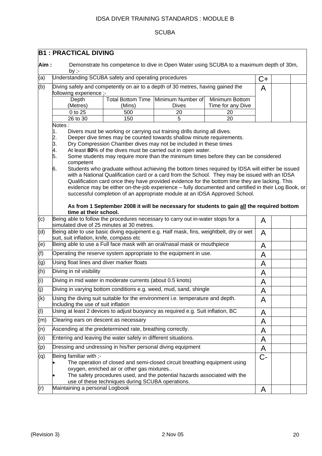## **SCUBA**

|                  | <b>B1 : PRACTICAL DIVING</b>                                   |                                                                                                |                                                                                                                                                                                                                                                                                                                                                                                                                                                                                                                                                                                                                                                                                                                                                                                                                                                                                                                                                                       |                         |       |  |
|------------------|----------------------------------------------------------------|------------------------------------------------------------------------------------------------|-----------------------------------------------------------------------------------------------------------------------------------------------------------------------------------------------------------------------------------------------------------------------------------------------------------------------------------------------------------------------------------------------------------------------------------------------------------------------------------------------------------------------------------------------------------------------------------------------------------------------------------------------------------------------------------------------------------------------------------------------------------------------------------------------------------------------------------------------------------------------------------------------------------------------------------------------------------------------|-------------------------|-------|--|
| Aim:             |                                                                |                                                                                                | Demonstrate his competence to dive in Open Water using SCUBA to a maximum depth of 30m,                                                                                                                                                                                                                                                                                                                                                                                                                                                                                                                                                                                                                                                                                                                                                                                                                                                                               |                         |       |  |
| (a)              | by $:-$<br>Understanding SCUBA safety and operating procedures |                                                                                                |                                                                                                                                                                                                                                                                                                                                                                                                                                                                                                                                                                                                                                                                                                                                                                                                                                                                                                                                                                       |                         | C+    |  |
| (b)              |                                                                |                                                                                                | Diving safely and competently on air to a depth of 30 metres, having gained the                                                                                                                                                                                                                                                                                                                                                                                                                                                                                                                                                                                                                                                                                                                                                                                                                                                                                       |                         | A     |  |
|                  | following experience ;-                                        |                                                                                                |                                                                                                                                                                                                                                                                                                                                                                                                                                                                                                                                                                                                                                                                                                                                                                                                                                                                                                                                                                       |                         |       |  |
|                  | Depth                                                          |                                                                                                | Total Bottom Time Minimum Number of<br><b>Dives</b>                                                                                                                                                                                                                                                                                                                                                                                                                                                                                                                                                                                                                                                                                                                                                                                                                                                                                                                   | Minimum Bottom          |       |  |
|                  | (Metres)<br>0 to 25                                            | (Mins)<br>500                                                                                  | 20                                                                                                                                                                                                                                                                                                                                                                                                                                                                                                                                                                                                                                                                                                                                                                                                                                                                                                                                                                    | Time for any Dive<br>20 |       |  |
|                  | 26 to 30                                                       | 150                                                                                            | 5                                                                                                                                                                                                                                                                                                                                                                                                                                                                                                                                                                                                                                                                                                                                                                                                                                                                                                                                                                     | 20                      |       |  |
|                  | Notes:                                                         |                                                                                                |                                                                                                                                                                                                                                                                                                                                                                                                                                                                                                                                                                                                                                                                                                                                                                                                                                                                                                                                                                       |                         |       |  |
|                  | 1.<br>2.<br>3.<br>4.<br>5.<br>competent<br>6.                  |                                                                                                | Divers must be working or carrying out training drills during all dives.<br>Deeper dive times may be counted towards shallow minute requirements.<br>Dry Compression Chamber dives may not be included in these times<br>At least 80% of the dives must be carried out in open water.<br>Some students may require more than the minimum times before they can be considered<br>Students who graduate without achieving the bottom times required by IDSA will either be issued<br>with a National Qualification card or a card from the School. They may be issued with an IDSA<br>Qualification card once they have provided evidence for the bottom time they are lacking. This<br>evidence may be either on-the-job experience - fully documented and certified in their Log Book, or<br>successful completion of an appropriate module at an IDSA Approved School.<br>As from 1 September 2008 it will be necessary for students to gain all the required bottom |                         |       |  |
|                  | time at their school.                                          |                                                                                                |                                                                                                                                                                                                                                                                                                                                                                                                                                                                                                                                                                                                                                                                                                                                                                                                                                                                                                                                                                       |                         |       |  |
| (c)              |                                                                |                                                                                                | Being able to follow the procedures necessary to carry out in-water stops for a                                                                                                                                                                                                                                                                                                                                                                                                                                                                                                                                                                                                                                                                                                                                                                                                                                                                                       |                         | A     |  |
|                  | simulated dive of 25 minutes at 30 metres.                     |                                                                                                |                                                                                                                                                                                                                                                                                                                                                                                                                                                                                                                                                                                                                                                                                                                                                                                                                                                                                                                                                                       |                         |       |  |
| (d)              | suit, suit inflation, knife, compass etc                       |                                                                                                | Being able to use basic diving equipment e.g. Half mask, fins, weightbelt, dry or wet                                                                                                                                                                                                                                                                                                                                                                                                                                                                                                                                                                                                                                                                                                                                                                                                                                                                                 |                         | A     |  |
| (e)              |                                                                |                                                                                                | Being able to use a Full face mask with an oral/nasal mask or mouthpiece                                                                                                                                                                                                                                                                                                                                                                                                                                                                                                                                                                                                                                                                                                                                                                                                                                                                                              |                         | A     |  |
| (f)              |                                                                |                                                                                                | Operating the reserve system appropriate to the equipment in use.                                                                                                                                                                                                                                                                                                                                                                                                                                                                                                                                                                                                                                                                                                                                                                                                                                                                                                     |                         | A     |  |
| $\overline{g}()$ | Using float lines and diver marker floats                      |                                                                                                |                                                                                                                                                                                                                                                                                                                                                                                                                                                                                                                                                                                                                                                                                                                                                                                                                                                                                                                                                                       |                         | A     |  |
| (h)              | Diving in nil visibility                                       |                                                                                                |                                                                                                                                                                                                                                                                                                                                                                                                                                                                                                                                                                                                                                                                                                                                                                                                                                                                                                                                                                       |                         | A     |  |
| (i)              | Diving in mid water in moderate currents (about 0.5 knots)     |                                                                                                |                                                                                                                                                                                                                                                                                                                                                                                                                                                                                                                                                                                                                                                                                                                                                                                                                                                                                                                                                                       |                         | A     |  |
| (i)              |                                                                |                                                                                                | Diving in varying bottom conditions e.g. weed, mud, sand, shingle                                                                                                                                                                                                                                                                                                                                                                                                                                                                                                                                                                                                                                                                                                                                                                                                                                                                                                     |                         | A     |  |
| (k)              | Including the use of suit inflation                            |                                                                                                | Using the diving suit suitable for the environment i.e. temperature and depth.                                                                                                                                                                                                                                                                                                                                                                                                                                                                                                                                                                                                                                                                                                                                                                                                                                                                                        |                         | A     |  |
| $($ l $)$        |                                                                |                                                                                                | Using at least 2 devices to adjust buoyancy as required e.g. Suit inflation, BC                                                                                                                                                                                                                                                                                                                                                                                                                                                                                                                                                                                                                                                                                                                                                                                                                                                                                       |                         | A     |  |
| (m)              | Clearing ears on descent as necessary                          |                                                                                                |                                                                                                                                                                                                                                                                                                                                                                                                                                                                                                                                                                                                                                                                                                                                                                                                                                                                                                                                                                       |                         | A     |  |
| (n)              | Ascending at the predetermined rate, breathing correctly.      |                                                                                                |                                                                                                                                                                                                                                                                                                                                                                                                                                                                                                                                                                                                                                                                                                                                                                                                                                                                                                                                                                       |                         | A     |  |
| (o)              | Entering and leaving the water safely in different situations. |                                                                                                |                                                                                                                                                                                                                                                                                                                                                                                                                                                                                                                                                                                                                                                                                                                                                                                                                                                                                                                                                                       |                         | A     |  |
| (p)              | Dressing and undressing in his/her personal diving equipment   |                                                                                                |                                                                                                                                                                                                                                                                                                                                                                                                                                                                                                                                                                                                                                                                                                                                                                                                                                                                                                                                                                       |                         | A     |  |
| (q)              | Being familiar with ;-                                         | oxygen, enriched air or other gas mixtures<br>use of these techniques during SCUBA operations. | The operation of closed and semi-closed circuit breathing equipment using<br>The safety procedures used, and the potential hazards associated with the                                                                                                                                                                                                                                                                                                                                                                                                                                                                                                                                                                                                                                                                                                                                                                                                                |                         | $C -$ |  |
| (r)              | Maintaining a personal Logbook                                 |                                                                                                |                                                                                                                                                                                                                                                                                                                                                                                                                                                                                                                                                                                                                                                                                                                                                                                                                                                                                                                                                                       |                         | A     |  |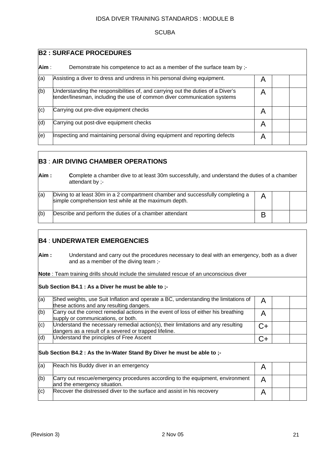#### **SCUBA**

|      | <b>B2: SURFACE PROCEDURES</b>                                                                                                                               |   |  |  |  |
|------|-------------------------------------------------------------------------------------------------------------------------------------------------------------|---|--|--|--|
| Aim: | Demonstrate his competence to act as a member of the surface team by :-                                                                                     |   |  |  |  |
| (a)  | Assisting a diver to dress and undress in his personal diving equipment.                                                                                    | A |  |  |  |
| (b)  | Understanding the responsibilities of, and carrying out the duties of a Diver's<br>tender/linesman, including the use of common diver communication systems | A |  |  |  |
| (c)  | Carrying out pre-dive equipment checks                                                                                                                      | A |  |  |  |
| (d)  | Carrying out post-dive equipment checks                                                                                                                     | A |  |  |  |
| (e)  | Inspecting and maintaining personal diving equipment and reporting defects                                                                                  | A |  |  |  |

## **B3** : **AIR DIVING CHAMBER OPERATIONS**

| Aim:<br>Complete a chamber dive to at least 30m successfully, and understand the duties of a chamber<br>attendant by ;- |                                                                                                                                          |   |  |  |
|-------------------------------------------------------------------------------------------------------------------------|------------------------------------------------------------------------------------------------------------------------------------------|---|--|--|
| (a)                                                                                                                     | Diving to at least 30m in a 2 compartment chamber and successfully completing a<br>simple comprehension test while at the maximum depth. |   |  |  |
| (b)                                                                                                                     | Describe and perform the duties of a chamber attendant                                                                                   | В |  |  |

## **B4** : **UNDERWATER EMERGENCIES**

**Aim :** Understand and carry out the procedures necessary to deal with an emergency, both as a diver and as a member of the diving team ;-

**Note** : Team training drills should include the simulated rescue of an unconscious diver

#### **Sub Section B4.1 : As a Diver he must be able to ;-**

| (a) | Shed weights, use Suit Inflation and operate a BC, understanding the limitations of<br>these actions and any resulting dangers.           | A    |  |
|-----|-------------------------------------------------------------------------------------------------------------------------------------------|------|--|
| (b) | Carry out the correct remedial actions in the event of loss of either his breathing<br>supply or communications, or both.                 | Α    |  |
| (c) | Understand the necessary remedial action(s), their limitations and any resulting<br>dangers as a result of a severed or trapped lifeline. | $C+$ |  |
| (d) | Understand the principles of Free Ascent                                                                                                  | $C+$ |  |
|     | Sub Section B4.2 : As the In-Water Stand By Diver he must be able to :-                                                                   |      |  |
| (a) |                                                                                                                                           |      |  |
|     | Reach his Buddy diver in an emergency                                                                                                     | A    |  |
| (b) | Carry out rescue/emergency procedures according to the equipment, environment<br>and the emergency situation.                             | A    |  |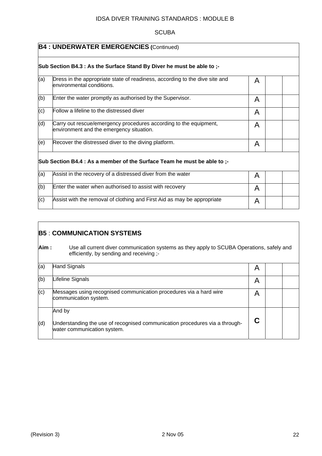### **SCUBA**

|     | <b>B4 : UNDERWATER EMERGENCIES (Continued)</b>                                                                |   |  |  |  |
|-----|---------------------------------------------------------------------------------------------------------------|---|--|--|--|
|     | Sub Section B4.3 : As the Surface Stand By Diver he must be able to ;-                                        |   |  |  |  |
| (a) | Dress in the appropriate state of readiness, according to the dive site and<br>lenvironmental conditions.     | A |  |  |  |
| (b) | Enter the water promptly as authorised by the Supervisor.                                                     | A |  |  |  |
| (c) | Follow a lifeline to the distressed diver                                                                     | A |  |  |  |
| (d) | Carry out rescue/emergency procedures according to the equipment,<br>environment and the emergency situation. | A |  |  |  |
| (e) | Recover the distressed diver to the diving platform.                                                          | A |  |  |  |
|     | Sub Section B4.4 : As a member of the Surface Team he must be able to :-                                      |   |  |  |  |
| (a) | Assist in the recovery of a distressed diver from the water                                                   | A |  |  |  |
| (b) | Enter the water when authorised to assist with recovery                                                       | A |  |  |  |
| (c) | Assist with the removal of clothing and First Aid as may be appropriate                                       | A |  |  |  |

## **B5** : **COMMUNICATION SYSTEMS**

**Aim :** Use all current diver communication systems as they apply to SCUBA Operations, safely and efficiently, by sending and receiving ;-

| (a) | Hand Signals                                                                                               | A |  |  |
|-----|------------------------------------------------------------------------------------------------------------|---|--|--|
| (b) | Lifeline Signals                                                                                           | A |  |  |
| (c) | Messages using recognised communication procedures via a hard wire<br>communication system.                | A |  |  |
|     | And by                                                                                                     |   |  |  |
| (d) | Understanding the use of recognised communication procedures via a through-<br>water communication system. | C |  |  |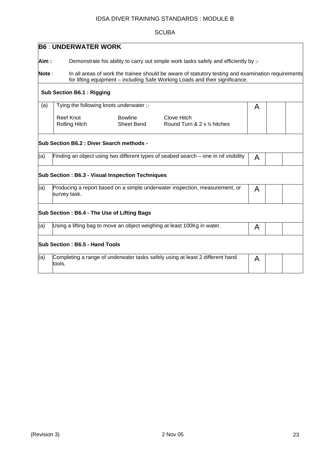## **SCUBA**

|       | <b>B6 : UNDERWATER WORK</b>                                                                                                                                                        |   |  |
|-------|------------------------------------------------------------------------------------------------------------------------------------------------------------------------------------|---|--|
| Aim : | Demonstrate his ability to carry out simple work tasks safely and efficiently by ;-                                                                                                |   |  |
| Note: | In all areas of work the trainee should be aware of statutory testing and examination requirements<br>for lifting equipment – including Safe Working Loads and their significance. |   |  |
|       | <b>Sub Section B6.1: Rigging</b>                                                                                                                                                   |   |  |
| (a)   | Tying the following knots underwater ;-                                                                                                                                            | A |  |
|       | <b>Reef Knot</b><br><b>Bowline</b><br><b>Clove Hitch</b><br>Sheet Bend<br>Round Turn & $2 \times \frac{1}{2}$ hitches<br>Rolling Hitch                                             |   |  |
|       | Sub Section B6.2 : Diver Search methods -                                                                                                                                          |   |  |
| (a)   | Finding an object using two different types of seabed search $-$ one in nil visibility                                                                                             | A |  |
|       | <b>Sub Section: B6.3 - Visual Inspection Techniques</b>                                                                                                                            |   |  |
| (a)   | Producing a report based on a simple underwater inspection, measurement, or<br>survey task.                                                                                        | A |  |
|       | Sub Section: B6.4 - The Use of Lifting Bags                                                                                                                                        |   |  |
| (a)   | Using a lifting bag to move an object weighing at least 100Kg in water.                                                                                                            | A |  |
|       | Sub Section: B6.5 - Hand Tools                                                                                                                                                     |   |  |
| (a)   | Completing a range of underwater tasks safely using at least 2 different hand<br>tools.                                                                                            | A |  |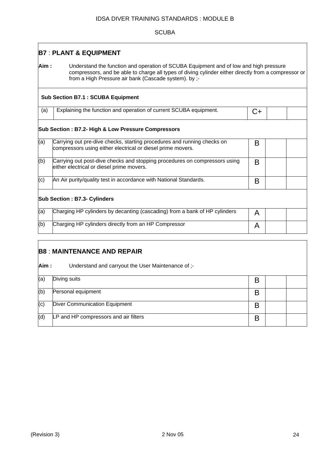#### **SCUBA**

## **B7** : **PLANT & EQUIPMENT**

**Aim :** Understand the function and operation of SCUBA Equipment and of low and high pressure compressors, and be able to charge all types of diving cylinder either directly from a compressor or from a High Pressure air bank (Cascade system). by ;-

#### **Sub Section B7.1 : SCUBA Equipment**

| (a) | <sup>1</sup> Explaining the function and operation of current SCUBA equipment. | $\overline{C}$ |  |
|-----|--------------------------------------------------------------------------------|----------------|--|

#### **Sub Section : B7.2- High & Low Pressure Compressors**

| (a) | Carrying out pre-dive checks, starting procedures and running checks on<br>compressors using either electrical or diesel prime movers. | B |  |  |  |  |
|-----|----------------------------------------------------------------------------------------------------------------------------------------|---|--|--|--|--|
| (b) | Carrying out post-dive checks and stopping procedures on compressors using<br>either electrical or diesel prime movers.                | В |  |  |  |  |
| (c) | An Air purity/quality test in accordance with National Standards.                                                                      | B |  |  |  |  |
|     | <b>Sub Section: B7.3- Cylinders</b>                                                                                                    |   |  |  |  |  |
| (a) | Charging HP cylinders by decanting (cascading) from a bank of HP cylinders                                                             | A |  |  |  |  |
| (b) | Charging HP cylinders directly from an HP Compressor                                                                                   | A |  |  |  |  |

## **B8** : **MAINTENANCE AND REPAIR**

#### Aim : Understand and carryout the User Maintenance of ;-

| (a) | Diving suits                          | D |  |
|-----|---------------------------------------|---|--|
| (b) | Personal equipment                    |   |  |
| (c) | Diver Communication Equipment         |   |  |
| (d) | LP and HP compressors and air filters |   |  |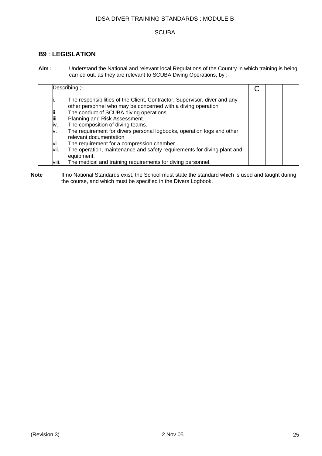## **SCUBA**

## **B9** : **LEGISLATION Aim :** Understand the National and relevant local Regulations of the Country in which training is being carried out, as they are relevant to SCUBA Diving Operations, by ;- Describing ;- The responsibilities of the Client, Contractor, Supervisor, diver and any other personnel who may be concerned with a diving operation ii. The conduct of SCUBA diving operations iii. Planning and Risk Assessment. iv. The composition of diving teams. v. The requirement for divers personal logbooks, operation logs and other relevant documentation vi. The requirement for a compression chamber. vii. The operation, maintenance and safety requirements for diving plant and equipment. viii. The medical and training requirements for diving personnel. C

Note : If no National Standards exist, the School must state the standard which is used and taught during the course, and which must be specified in the Divers Logbook.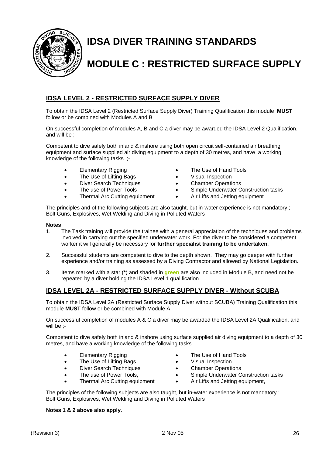

## **IDSA DIVER TRAINING STANDARDS**

## **MODULE C : RESTRICTED SURFACE SUPPLY**

## **IDSA LEVEL 2 - RESTRICTED SURFACE SUPPLY DIVER**

To obtain the IDSA Level 2 (Restricted Surface Supply Diver) Training Qualification this module **MUST** follow or be combined with Modules A and B

On successful completion of modules A, B and C a diver may be awarded the IDSA Level 2 Qualification, and will be ;-

Competent to dive safely both inland & inshore using both open circuit self-contained air breathing equipment and surface supplied air diving equipment to a depth of 30 metres, and have a working knowledge of the following tasks ;-

- Elementary Rigging
- The Use of Lifting Bags
- Diver Search Techniques
- The use of Power Tools
- **Thermal Arc Cutting equipment**
- The Use of Hand Tools
- Visual Inspection
- Chamber Operations
- Simple Underwater Construction tasks
- Air Lifts and Jetting equipment

The principles and of the following subjects are also taught, but in-water experience is not mandatory ; Bolt Guns, Explosives, Wet Welding and Diving in Polluted Waters

#### **Notes**

- 1. The Task training will provide the trainee with a general appreciation of the techniques and problems involved in carrying out the specified underwater work. For the diver to be considered a competent worker it will generally be necessary for **further specialist training to be undertaken**.
- 2. Successful students are competent to dive to the depth shown. They may go deeper with further experience and/or training as assessed by a Diving Contractor and allowed by National Legislation.
- 3. Items marked with a star (**\***) and shaded in **green** are also included in Module B, and need not be repeated by a diver holding the IDSA Level 1 qualification.

## **IDSA LEVEL 2A - RESTRICTED SURFACE SUPPLY DIVER - Without SCUBA**

To obtain the IDSA Level 2A (Restricted Surface Supply Diver without SCUBA) Training Qualification this module **MUST** follow or be combined with Module A.

On successful completion of modules A & C a diver may be awarded the IDSA Level 2A Qualification, and will be ;-

Competent to dive safely both inland & inshore using surface supplied air diving equipment to a depth of 30 metres, and have a working knowledge of the following tasks

- Elementary Rigging
- The Use of Lifting Bags
- Diver Search Techniques
- The use of Power Tools,
- Thermal Arc Cutting equipment
- The Use of Hand Tools
- Visual Inspection
- Chamber Operations
- Simple Underwater Construction tasks
- Air Lifts and Jetting equipment,

The principles of the following subjects are also taught, but in-water experience is not mandatory ; Bolt Guns, Explosives, Wet Welding and Diving in Polluted Waters

#### **Notes 1 & 2 above also apply.**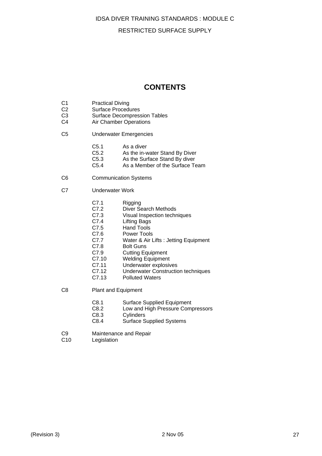#### RESTRICTED SURFACE SUPPLY

## **CONTENTS**

- C1 Practical Diving<br>C2 Surface Proced
- C2 Surface Procedures<br>C3 Surface Decompres
- Surface Decompression Tables
- C4 Air Chamber Operations
- C5 Underwater Emergencies
	- C5.1 As a diver<br>C5.2 As the in-v
	- As the in-water Stand By Diver
	- C5.3 As the Surface Stand By diver
	- C5.4 As a Member of the Surface Team
- C6 Communication Systems
- C7 Underwater Work
	- C7.1 Rigging<br>C7.2 Diver Se
	- Diver Search Methods
	- C7.3 Visual Inspection techniques<br>C7.4 Lifting Bags
	- C7.4 Lifting Bags<br>C7.5 Hand Tools
	- **Hand Tools**
	- C7.6 Power Tools
	- C7.7 Water & Air Lifts : Jetting Equipment
	- C7.8 Bolt Guns
	- C7.9 Cutting Equipment<br>C7.10 Welding Equipment
	- Welding Equipment
	- C7.11 Underwater explosives
	- C7.12 Underwater Construction techniques<br>C7.13 Polluted Waters
	- **Polluted Waters**
- C8 Plant and Equipment
	- C8.1 Surface Supplied Equipment
	- C8.2 Low and High Pressure Compressors
	- C8.3 Cylinders
	- C8.4 Surface Supplied Systems
- C9 Maintenance and Repair
- C10 Legislation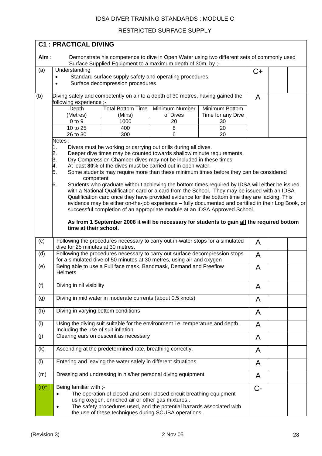## RESTRICTED SURFACE SUPPLY

|         | <b>C1: PRACTICAL DIVING</b>                                                     |                                                                                                                                                      |                            |                                                                                                                                                                                                  |    |  |
|---------|---------------------------------------------------------------------------------|------------------------------------------------------------------------------------------------------------------------------------------------------|----------------------------|--------------------------------------------------------------------------------------------------------------------------------------------------------------------------------------------------|----|--|
| Aim:    |                                                                                 |                                                                                                                                                      |                            | Demonstrate his competence to dive in Open Water using two different sets of commonly used                                                                                                       |    |  |
|         |                                                                                 | Surface Supplied Equipment to a maximum depth of 30m, by ;-                                                                                          |                            |                                                                                                                                                                                                  |    |  |
| (a)     | Understanding                                                                   |                                                                                                                                                      |                            |                                                                                                                                                                                                  | C+ |  |
|         |                                                                                 | Standard surface supply safety and operating procedures                                                                                              |                            |                                                                                                                                                                                                  |    |  |
|         | $\bullet$                                                                       | Surface decompression procedures                                                                                                                     |                            |                                                                                                                                                                                                  |    |  |
| (b)     | Diving safely and competently on air to a depth of 30 metres, having gained the |                                                                                                                                                      |                            |                                                                                                                                                                                                  | A  |  |
|         | following experience ;-                                                         |                                                                                                                                                      |                            |                                                                                                                                                                                                  |    |  |
|         | Depth <sup>-</sup>                                                              | <b>Total Bottom Time</b><br>(Mins)                                                                                                                   | Minimum Number<br>of Dives | Minimum Bottom                                                                                                                                                                                   |    |  |
|         | (Metres)<br>$0$ to $9$                                                          | 1000                                                                                                                                                 | 20                         | Time for any Dive<br>30                                                                                                                                                                          |    |  |
|         | 10 to 25                                                                        | 400                                                                                                                                                  | 8                          | 20                                                                                                                                                                                               |    |  |
|         | 26 to 30                                                                        | 300                                                                                                                                                  | 6                          | 20                                                                                                                                                                                               |    |  |
|         | Notes:                                                                          |                                                                                                                                                      |                            |                                                                                                                                                                                                  |    |  |
|         | 1.                                                                              | Divers must be working or carrying out drills during all dives.                                                                                      |                            |                                                                                                                                                                                                  |    |  |
|         |                                                                                 | Deeper dive times may be counted towards shallow minute requirements.<br>Dry Compression Chamber dives may not be included in these times            |                            |                                                                                                                                                                                                  |    |  |
|         | 2.3.4.5.                                                                        | At least 80% of the dives must be carried out in open water.                                                                                         |                            |                                                                                                                                                                                                  |    |  |
|         |                                                                                 |                                                                                                                                                      |                            | Some students may require more than these minimum times before they can be considered                                                                                                            |    |  |
|         | competent                                                                       |                                                                                                                                                      |                            |                                                                                                                                                                                                  |    |  |
|         | 6.                                                                              |                                                                                                                                                      |                            | Students who graduate without achieving the bottom times required by IDSA will either be issued<br>with a National Qualification card or a card from the School. They may be issued with an IDSA |    |  |
|         |                                                                                 |                                                                                                                                                      |                            | Qualification card once they have provided evidence for the bottom time they are lacking. This                                                                                                   |    |  |
|         |                                                                                 |                                                                                                                                                      |                            | evidence may be either on-the-job experience - fully documented and certified in their Log Book, or                                                                                              |    |  |
|         |                                                                                 |                                                                                                                                                      |                            | successful completion of an appropriate module at an IDSA Approved School.                                                                                                                       |    |  |
|         |                                                                                 |                                                                                                                                                      |                            | As from 1 September 2008 it will be necessary for students to gain all the required bottom                                                                                                       |    |  |
|         | time at their school.                                                           |                                                                                                                                                      |                            |                                                                                                                                                                                                  |    |  |
| (c)     | dive for 25 minutes at 30 metres.                                               | Following the procedures necessary to carry out in-water stops for a simulated                                                                       |                            |                                                                                                                                                                                                  | A  |  |
| (d)     |                                                                                 | Following the procedures necessary to carry out surface decompression stops<br>for a simulated dive of 50 minutes at 30 metres, using air and oxygen |                            |                                                                                                                                                                                                  | A  |  |
| (e)     | <b>Helmets</b>                                                                  | Being able to use a Full face mask, Bandmask, Demand and Freeflow                                                                                    |                            |                                                                                                                                                                                                  | A  |  |
| (f)     | Diving in nil visibility                                                        |                                                                                                                                                      |                            |                                                                                                                                                                                                  | A  |  |
|         |                                                                                 |                                                                                                                                                      |                            |                                                                                                                                                                                                  |    |  |
| (g)     |                                                                                 | Diving in mid water in moderate currents (about 0.5 knots)                                                                                           |                            |                                                                                                                                                                                                  | A  |  |
| (h)     | Diving in varying bottom conditions                                             |                                                                                                                                                      |                            |                                                                                                                                                                                                  | A  |  |
| (i)     | Including the use of suit inflation                                             | Using the diving suit suitable for the environment i.e. temperature and depth.                                                                       |                            |                                                                                                                                                                                                  | A  |  |
| (j)     |                                                                                 | Clearing ears on descent as necessary                                                                                                                |                            |                                                                                                                                                                                                  | A  |  |
| (k)     |                                                                                 | Ascending at the predetermined rate, breathing correctly.                                                                                            |                            |                                                                                                                                                                                                  | A  |  |
| (1)     |                                                                                 | Entering and leaving the water safely in different situations.                                                                                       |                            |                                                                                                                                                                                                  | A  |  |
| (m)     |                                                                                 | Dressing and undressing in his/her personal diving equipment                                                                                         |                            |                                                                                                                                                                                                  | A  |  |
| $(n)^*$ | Being familiar with ;-                                                          |                                                                                                                                                      |                            |                                                                                                                                                                                                  | C  |  |
|         |                                                                                 | The operation of closed and semi-closed circuit breathing equipment                                                                                  |                            |                                                                                                                                                                                                  |    |  |
|         |                                                                                 | using oxygen, enriched air or other gas mixtures                                                                                                     |                            |                                                                                                                                                                                                  |    |  |
|         | $\bullet$                                                                       | The safety procedures used, and the potential hazards associated with<br>the use of these techniques during SCUBA operations.                        |                            |                                                                                                                                                                                                  |    |  |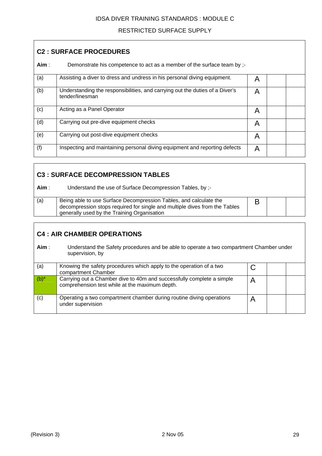## RESTRICTED SURFACE SUPPLY

| <b>C2: SURFACE PROCEDURES</b> |                                                                                                 |   |  |  |
|-------------------------------|-------------------------------------------------------------------------------------------------|---|--|--|
| Aim:                          | Demonstrate his competence to act as a member of the surface team by ;-                         |   |  |  |
| (a)                           | Assisting a diver to dress and undress in his personal diving equipment.                        | A |  |  |
| (b)                           | Understanding the responsibilities, and carrying out the duties of a Diver's<br>tender/linesman | A |  |  |
| (c)                           | Acting as a Panel Operator                                                                      | A |  |  |
| (d)                           | Carrying out pre-dive equipment checks                                                          | A |  |  |
| (e)                           | Carrying out post-dive equipment checks                                                         | A |  |  |
| (f)                           | Inspecting and maintaining personal diving equipment and reporting defects                      | A |  |  |

## **C3 : SURFACE DECOMPRESSION TABLES**

**Aim** : Understand the use of Surface Decompression Tables, by ;-

| (a) | Being able to use Surface Decompression Tables, and calculate the          |  |  |
|-----|----------------------------------------------------------------------------|--|--|
|     | decompression stops required for single and multiple dives from the Tables |  |  |
|     | generally used by the Training Organisation                                |  |  |

## **C4 : AIR CHAMBER OPERATIONS**

**Aim** : Understand the Safety procedures and be able to operate a two compartment Chamber under supervision, by

| (a)     | Knowing the safety procedures which apply to the operation of a two<br>compartment Chamber                              |  |  |
|---------|-------------------------------------------------------------------------------------------------------------------------|--|--|
| $(b)^*$ | Carrying out a Chamber dive to 40m and successfully complete a simple<br>comprehension test while at the maximum depth. |  |  |
| (c)     | Operating a two compartment chamber during routine diving operations<br>under supervision                               |  |  |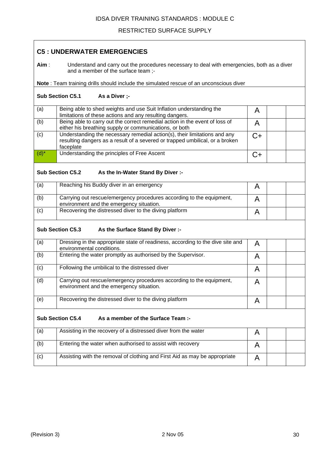## RESTRICTED SURFACE SUPPLY

| <b>C5: UNDERWATER EMERGENCIES</b> |                                                                                                                                                                        |      |  |  |  |  |
|-----------------------------------|------------------------------------------------------------------------------------------------------------------------------------------------------------------------|------|--|--|--|--|
| Aim:                              | Understand and carry out the procedures necessary to deal with emergencies, both as a diver<br>and a member of the surface team;-                                      |      |  |  |  |  |
|                                   | Note : Team training drills should include the simulated rescue of an unconscious diver                                                                                |      |  |  |  |  |
|                                   | <b>Sub Section C5.1</b><br>As a Diver ;-                                                                                                                               |      |  |  |  |  |
| (a)                               | Being able to shed weights and use Suit Inflation understanding the<br>limitations of these actions and any resulting dangers.                                         | A    |  |  |  |  |
| (b)                               | Being able to carry out the correct remedial action in the event of loss of<br>either his breathing supply or communications, or both                                  | A    |  |  |  |  |
| (c)                               | Understanding the necessary remedial action(s), their limitations and any<br>resulting dangers as a result of a severed or trapped umbilical, or a broken<br>faceplate | $C+$ |  |  |  |  |
| $(d)^*$                           | Understanding the principles of Free Ascent                                                                                                                            | $C+$ |  |  |  |  |
|                                   | <b>Sub Section C5.2</b><br>As the In-Water Stand By Diver :-                                                                                                           |      |  |  |  |  |
| (a)                               | Reaching his Buddy diver in an emergency                                                                                                                               | A    |  |  |  |  |
| (b)                               | Carrying out rescue/emergency procedures according to the equipment,<br>environment and the emergency situation.                                                       | A    |  |  |  |  |
| (c)                               | Recovering the distressed diver to the diving platform                                                                                                                 | A    |  |  |  |  |
|                                   | <b>Sub Section C5.3</b><br>As the Surface Stand By Diver :-                                                                                                            |      |  |  |  |  |
| (a)                               | Dressing in the appropriate state of readiness, according to the dive site and<br>environmental conditions.                                                            | A    |  |  |  |  |
| (b)                               | Entering the water promptly as authorised by the Supervisor.                                                                                                           | A    |  |  |  |  |
| (c)                               | Following the umbilical to the distressed diver                                                                                                                        | A    |  |  |  |  |
| (d)                               | Carrying out rescue/emergency procedures according to the equipment,<br>environment and the emergency situation.                                                       | A    |  |  |  |  |
| (e)                               | Recovering the distressed diver to the diving platform                                                                                                                 | A    |  |  |  |  |
|                                   | <b>Sub Section C5.4</b><br>As a member of the Surface Team :-                                                                                                          |      |  |  |  |  |
| (a)                               | Assisting in the recovery of a distressed diver from the water                                                                                                         | A    |  |  |  |  |
| (b)                               | Entering the water when authorised to assist with recovery                                                                                                             | A    |  |  |  |  |
| (c)                               | Assisting with the removal of clothing and First Aid as may be appropriate                                                                                             | A    |  |  |  |  |

┑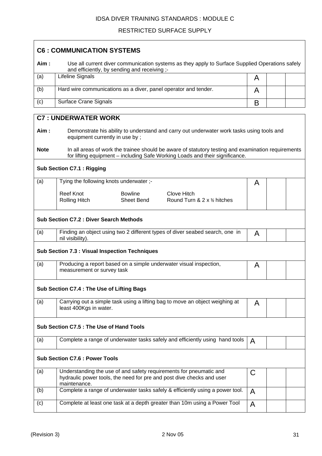## RESTRICTED SURFACE SUPPLY

| <b>C6 : COMMUNICATION SYSTEMS</b> |                                                                                                                                                                                    |   |  |  |  |
|-----------------------------------|------------------------------------------------------------------------------------------------------------------------------------------------------------------------------------|---|--|--|--|
| Aim:                              | Use all current diver communication systems as they apply to Surface Supplied Operations safely<br>and efficiently, by sending and receiving ;-                                    |   |  |  |  |
| (a)                               | <b>Lifeline Signals</b>                                                                                                                                                            | A |  |  |  |
| (b)                               | Hard wire communications as a diver, panel operator and tender.                                                                                                                    | A |  |  |  |
| (c)                               | <b>Surface Crane Signals</b>                                                                                                                                                       | B |  |  |  |
|                                   | <b>C7: UNDERWATER WORK</b>                                                                                                                                                         |   |  |  |  |
| Aim:                              | Demonstrate his ability to understand and carry out underwater work tasks using tools and<br>equipment currently in use by;                                                        |   |  |  |  |
| <b>Note</b>                       | In all areas of work the trainee should be aware of statutory testing and examination requirements<br>for lifting equipment - including Safe Working Loads and their significance. |   |  |  |  |
|                                   | <b>Sub Section C7.1: Rigging</b>                                                                                                                                                   |   |  |  |  |
| (a)                               | Tying the following knots underwater ;-                                                                                                                                            | A |  |  |  |
|                                   | <b>Reef Knot</b><br><b>Bowline</b><br>Clove Hitch<br>Sheet Bend<br><b>Rolling Hitch</b><br>Round Turn & $2 \times \frac{1}{2}$ hitches                                             |   |  |  |  |
|                                   | <b>Sub Section C7.2: Diver Search Methods</b>                                                                                                                                      |   |  |  |  |
| (a)                               | Finding an object using two 2 different types of diver seabed search, one in<br>nil visibility).                                                                                   | A |  |  |  |
|                                   | <b>Sub Section 7.3 : Visual Inspection Techniques</b>                                                                                                                              |   |  |  |  |
| (a)                               | Producing a report based on a simple underwater visual inspection,<br>measurement or survey task                                                                                   | A |  |  |  |
|                                   | Sub Section C7.4 : The Use of Lifting Bags                                                                                                                                         |   |  |  |  |
| (a)                               | Carrying out a simple task using a lifting bag to move an object weighing at<br>least 400Kgs in water.                                                                             | A |  |  |  |
|                                   | Sub Section C7.5 : The Use of Hand Tools                                                                                                                                           |   |  |  |  |
| (a)                               | Complete a range of underwater tasks safely and efficiently using hand tools                                                                                                       | A |  |  |  |
|                                   | <b>Sub Section C7.6 : Power Tools</b>                                                                                                                                              |   |  |  |  |
| (a)                               | Understanding the use of and safety requirements for pneumatic and<br>hydraulic power tools, the need for pre and post dive checks and user<br>maintenance.                        | C |  |  |  |
| (b)                               | Complete a range of underwater tasks safely & efficiently using a power tool.                                                                                                      | A |  |  |  |
| (c)                               | Complete at least one task at a depth greater than 10m using a Power Tool                                                                                                          | A |  |  |  |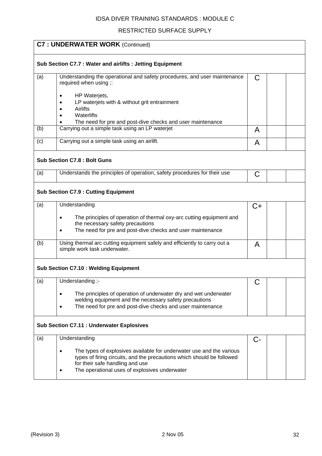## RESTRICTED SURFACE SUPPLY

| <b>C7: UNDERWATER WORK (Continued)</b> |                                                                                                                                                                                                                                                 |    |  |  |  |
|----------------------------------------|-------------------------------------------------------------------------------------------------------------------------------------------------------------------------------------------------------------------------------------------------|----|--|--|--|
|                                        | Sub Section C7.7: Water and airlifts: Jetting Equipment                                                                                                                                                                                         |    |  |  |  |
| (a)                                    | Understanding the operational and safety procedures, and user maintenance<br>required when using ;:<br>HP Waterjets,<br>LP waterjets with & without grit entrainment                                                                            | С  |  |  |  |
|                                        | Airlifts<br>Waterlifts<br>The need for pre and post-dive checks and user maintenance                                                                                                                                                            |    |  |  |  |
| (b)                                    | Carrying out a simple task using an LP waterjet                                                                                                                                                                                                 | A  |  |  |  |
| (c)                                    | Carrying out a simple task using an airlift.                                                                                                                                                                                                    | A  |  |  |  |
|                                        | <b>Sub Section C7.8: Bolt Guns</b>                                                                                                                                                                                                              |    |  |  |  |
| (a)                                    | Understands the principles of operation, safety procedures for their use                                                                                                                                                                        | С  |  |  |  |
|                                        | <b>Sub Section C7.9: Cutting Equipment</b>                                                                                                                                                                                                      |    |  |  |  |
| (a)                                    | Understanding                                                                                                                                                                                                                                   | C+ |  |  |  |
|                                        | The principles of operation of thermal oxy-arc cutting equipment and<br>$\bullet$<br>the necessary safety precautions<br>The need for pre and post-dive checks and user maintenance<br>$\bullet$                                                |    |  |  |  |
| (b)                                    | Using thermal arc cutting equipment safely and efficiently to carry out a<br>simple work task underwater.                                                                                                                                       | A  |  |  |  |
|                                        | <b>Sub Section C7.10: Welding Equipment</b>                                                                                                                                                                                                     |    |  |  |  |
| (a)                                    | Understanding ;-<br>The principles of operation of underwater dry and wet underwater<br>welding equipment and the necessary safety precautions<br>The need for pre and post-dive checks and user maintenance<br>$\bullet$                       | C  |  |  |  |
|                                        | <b>Sub Section C7.11 : Underwater Explosives</b>                                                                                                                                                                                                |    |  |  |  |
| (a)                                    | Understanding                                                                                                                                                                                                                                   | C- |  |  |  |
|                                        | The types of explosives available for underwater use and the various<br>$\bullet$<br>types of firing circuits, and the precautions which should be followed<br>for their safe handling and use<br>The operational uses of explosives underwater |    |  |  |  |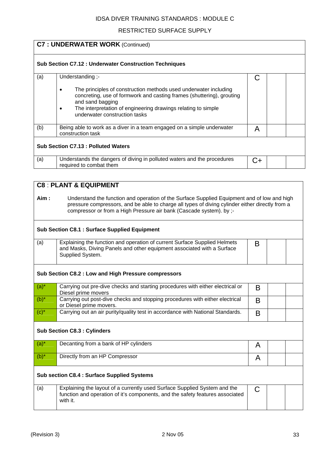## RESTRICTED SURFACE SUPPLY

|         | <b>C7: UNDERWATER WORK (Continued)</b>                                                                                                                                                                                                                                       |    |  |  |  |
|---------|------------------------------------------------------------------------------------------------------------------------------------------------------------------------------------------------------------------------------------------------------------------------------|----|--|--|--|
|         |                                                                                                                                                                                                                                                                              |    |  |  |  |
|         | <b>Sub Section C7.12: Underwater Construction Techniques</b>                                                                                                                                                                                                                 |    |  |  |  |
|         |                                                                                                                                                                                                                                                                              |    |  |  |  |
| (a)     | Understanding ;-                                                                                                                                                                                                                                                             | C  |  |  |  |
|         | The principles of construction methods used underwater including<br>$\bullet$<br>concreting, use of formwork and casting frames (shuttering), grouting<br>and sand bagging<br>The interpretation of engineering drawings relating to simple<br>underwater construction tasks |    |  |  |  |
| (b)     | Being able to work as a diver in a team engaged on a simple underwater<br>construction task                                                                                                                                                                                  | A  |  |  |  |
|         | <b>Sub Section C7.13: Polluted Waters</b>                                                                                                                                                                                                                                    |    |  |  |  |
| (a)     | Understands the dangers of diving in polluted waters and the procedures<br>required to combat them                                                                                                                                                                           | C+ |  |  |  |
|         |                                                                                                                                                                                                                                                                              |    |  |  |  |
|         | <b>C8: PLANT &amp; EQUIPMENT</b>                                                                                                                                                                                                                                             |    |  |  |  |
|         |                                                                                                                                                                                                                                                                              |    |  |  |  |
| Aim :   | Understand the function and operation of the Surface Supplied Equipment and of low and high<br>pressure compressors, and be able to charge all types of diving cylinder either directly from a<br>compressor or from a High Pressure air bank (Cascade system). by ;-        |    |  |  |  |
|         | <b>Sub Section C8.1: Surface Supplied Equipment</b>                                                                                                                                                                                                                          |    |  |  |  |
| (a)     | Explaining the function and operation of current Surface Supplied Helmets<br>and Masks, Diving Panels and other equipment associated with a Surface<br>Supplied System.                                                                                                      | B  |  |  |  |
|         | Sub Section C8.2 : Low and High Pressure compressors                                                                                                                                                                                                                         |    |  |  |  |
| $(a)^*$ | Carrying out pre-dive checks and starting procedures with either electrical or<br>Diesel prime movers                                                                                                                                                                        | B  |  |  |  |
| $(b)^*$ | Carrying out post-dive checks and stopping procedures with either electrical<br>or Diesel prime movers.                                                                                                                                                                      | B  |  |  |  |
| $(c)^*$ | Carrying out an air purity/quality test in accordance with National Standards.                                                                                                                                                                                               | B  |  |  |  |

## **Sub Section C8.3 : Cylinders**

| $(a)^*$ | Decanting from a bank of HP cylinders |  |  |
|---------|---------------------------------------|--|--|
| $(b)^*$ | Directly from an HP Compressor        |  |  |

## **Sub section C8.4 : Surface Supplied Systems**

| (a) | Explaining the layout of a currently used Surface Supplied System and the<br>function and operation of it's components, and the safety features associated<br>with it. |  |  |
|-----|------------------------------------------------------------------------------------------------------------------------------------------------------------------------|--|--|
|     |                                                                                                                                                                        |  |  |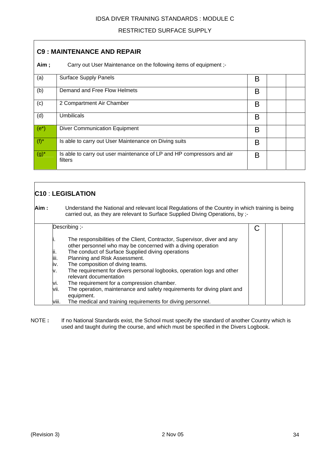## RESTRICTED SURFACE SUPPLY

| <b>C9: MAINTENANCE AND REPAIR</b> |                                                                                   |   |  |  |  |
|-----------------------------------|-----------------------------------------------------------------------------------|---|--|--|--|
| Aim;                              | Carry out User Maintenance on the following items of equipment ;-                 |   |  |  |  |
| (a)                               | <b>Surface Supply Panels</b>                                                      | В |  |  |  |
| (b)                               | Demand and Free Flow Helmets                                                      | B |  |  |  |
| (c)                               | 2 Compartment Air Chamber                                                         | B |  |  |  |
| (d)                               | <b>Umbilicals</b>                                                                 | B |  |  |  |
| $(e^*)$                           | <b>Diver Communication Equipment</b>                                              | B |  |  |  |
| $(f)^*$                           | Is able to carry out User Maintenance on Diving suits                             | B |  |  |  |
| $(g)^*$                           | Is able to carry out user maintenance of LP and HP compressors and air<br>filters | B |  |  |  |

|       | <b>C10 : LEGISLATION</b> |                                                                                                                                                                                    |  |  |  |  |
|-------|--------------------------|------------------------------------------------------------------------------------------------------------------------------------------------------------------------------------|--|--|--|--|
| Aim : |                          | Understand the National and relevant local Regulations of the Country in which training is being<br>carried out, as they are relevant to Surface Supplied Diving Operations, by ;- |  |  |  |  |
|       |                          | Describing ;-                                                                                                                                                                      |  |  |  |  |
|       |                          | The responsibilities of the Client, Contractor, Supervisor, diver and any<br>other personnel who may be concerned with a diving operation                                          |  |  |  |  |
|       | ļii.                     | The conduct of Surface Supplied diving operations                                                                                                                                  |  |  |  |  |
|       | ļiii.                    | Planning and Risk Assessment.                                                                                                                                                      |  |  |  |  |
|       | liv.                     | The composition of diving teams.                                                                                                                                                   |  |  |  |  |
|       | ν.                       | The requirement for divers personal logbooks, operation logs and other<br>relevant documentation                                                                                   |  |  |  |  |
|       | Vİ.                      | The requirement for a compression chamber.                                                                                                                                         |  |  |  |  |
|       | vii.                     | The operation, maintenance and safety requirements for diving plant and<br>equipment.                                                                                              |  |  |  |  |
|       | VIII.                    | The medical and training requirements for diving personnel.                                                                                                                        |  |  |  |  |

NOTE : If no National Standards exist, the School must specify the standard of another Country which is used and taught during the course, and which must be specified in the Divers Logbook.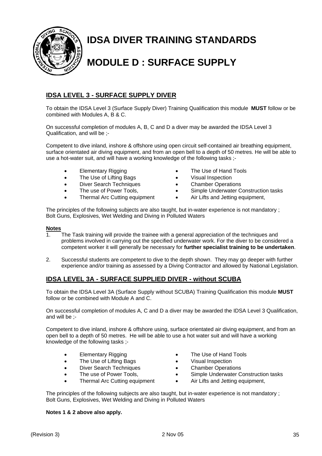

## **IDSA DIVER TRAINING STANDARDS**

## **MODULE D : SURFACE SUPPLY**

## **IDSA LEVEL 3 - SURFACE SUPPLY DIVER**

To obtain the IDSA Level 3 (Surface Supply Diver) Training Qualification this module **MUST** follow or be combined with Modules A, B & C.

On successful completion of modules A, B, C and D a diver may be awarded the IDSA Level 3 Qualification, and will be ;-

Competent to dive inland, inshore & offshore using open circuit self-contained air breathing equipment, surface orientated air diving equipment, and from an open bell to a depth of 50 metres. He will be able to use a hot-water suit, and will have a working knowledge of the following tasks ;-

- Elementary Rigging
- The Use of Lifting Bags
- Diver Search Techniques
- The use of Power Tools,
- Thermal Arc Cutting equipment
- The Use of Hand Tools
- Visual Inspection
- Chamber Operations
- Simple Underwater Construction tasks
- Air Lifts and Jetting equipment,

The principles of the following subjects are also taught, but in-water experience is not mandatory ; Bolt Guns, Explosives, Wet Welding and Diving in Polluted Waters

#### **Notes**

- 1. The Task training will provide the trainee with a general appreciation of the techniques and problems involved in carrying out the specified underwater work. For the diver to be considered a competent worker it will generally be necessary for **further specialist training to be undertaken**.
- 2. Successful students are competent to dive to the depth shown. They may go deeper with further experience and/or training as assessed by a Diving Contractor and allowed by National Legislation.

## **IDSA LEVEL 3A - SURFACE SUPPLIED DIVER - without SCUBA**

To obtain the IDSA Level 3A (Surface Supply without SCUBA) Training Qualification this module **MUST** follow or be combined with Module A and C.

On successful completion of modules A, C and D a diver may be awarded the IDSA Level 3 Qualification, and will be ;-

Competent to dive inland, inshore & offshore using, surface orientated air diving equipment, and from an open bell to a depth of 50 metres. He will be able to use a hot water suit and will have a working knowledge of the following tasks ;-

- Elementary Rigging
- The Use of Lifting Bags
- Diver Search Techniques
- The use of Power Tools,
- Thermal Arc Cutting equipment
- The Use of Hand Tools
- Visual Inspection
- Chamber Operations
- Simple Underwater Construction tasks
- Air Lifts and Jetting equipment,

The principles of the following subjects are also taught, but in-water experience is not mandatory ; Bolt Guns, Explosives, Wet Welding and Diving in Polluted Waters

#### **Notes 1 & 2 above also apply.**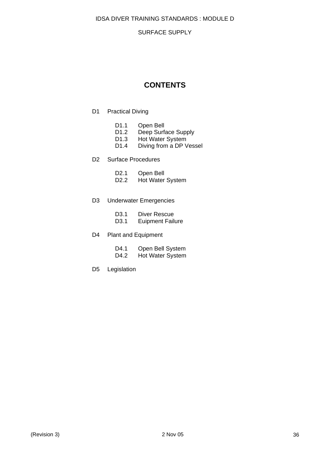#### SURFACE SUPPLY

## **CONTENTS**

- D1 Practical Diving
	- D1.1 Open Bell
	- D1.2 Deep Surface Supply
	- D1.3 Hot Water System
	- D1.4 Diving from a DP Vessel

#### D2 Surface Procedures

| D <sub>2.1</sub> | Open Bell |
|------------------|-----------|
|------------------|-----------|

D2.2 Hot Water System

#### D3 Underwater Emergencies

- D3.1 Euipment Failure
- D4 Plant and Equipment

| D4.1 | Open Bell System        |
|------|-------------------------|
| D4.2 | <b>Hot Water System</b> |

D5 Legislation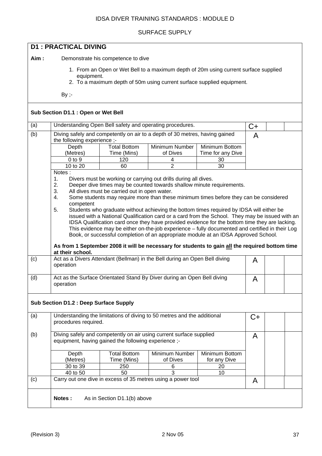#### SURFACE SUPPLY

| <b>D1: PRACTICAL DIVING</b> |                                                                                                                                                                                                                                                                                                                                                                                                                                                                                                                                                                                                                                                                                                                                                                                                                                                                                                                            |                                    |                                                                             |                                     |    |  |  |
|-----------------------------|----------------------------------------------------------------------------------------------------------------------------------------------------------------------------------------------------------------------------------------------------------------------------------------------------------------------------------------------------------------------------------------------------------------------------------------------------------------------------------------------------------------------------------------------------------------------------------------------------------------------------------------------------------------------------------------------------------------------------------------------------------------------------------------------------------------------------------------------------------------------------------------------------------------------------|------------------------------------|-----------------------------------------------------------------------------|-------------------------------------|----|--|--|
| Aim:                        |                                                                                                                                                                                                                                                                                                                                                                                                                                                                                                                                                                                                                                                                                                                                                                                                                                                                                                                            | Demonstrate his competence to dive |                                                                             |                                     |    |  |  |
|                             | 1. From an Open or Wet Bell to a maximum depth of 20m using current surface supplied<br>equipment.<br>2. To a maximum depth of 50m using current surface supplied equipment.                                                                                                                                                                                                                                                                                                                                                                                                                                                                                                                                                                                                                                                                                                                                               |                                    |                                                                             |                                     |    |  |  |
|                             | $By -$                                                                                                                                                                                                                                                                                                                                                                                                                                                                                                                                                                                                                                                                                                                                                                                                                                                                                                                     |                                    |                                                                             |                                     |    |  |  |
|                             | Sub Section D1.1 : Open or Wet Bell                                                                                                                                                                                                                                                                                                                                                                                                                                                                                                                                                                                                                                                                                                                                                                                                                                                                                        |                                    |                                                                             |                                     |    |  |  |
| (a)                         |                                                                                                                                                                                                                                                                                                                                                                                                                                                                                                                                                                                                                                                                                                                                                                                                                                                                                                                            |                                    | Understanding Open Bell safety and operating procedures.                    |                                     | C+ |  |  |
| (b)                         | the following experience ;-                                                                                                                                                                                                                                                                                                                                                                                                                                                                                                                                                                                                                                                                                                                                                                                                                                                                                                |                                    | Diving safely and competently on air to a depth of 30 metres, having gained |                                     | A  |  |  |
|                             | Depth<br>(Metres)                                                                                                                                                                                                                                                                                                                                                                                                                                                                                                                                                                                                                                                                                                                                                                                                                                                                                                          | <b>Total Bottom</b><br>Time (Mins) | Minimum Number<br>of Dives                                                  | Minimum Bottom<br>Time for any Dive |    |  |  |
|                             | $0$ to $9$                                                                                                                                                                                                                                                                                                                                                                                                                                                                                                                                                                                                                                                                                                                                                                                                                                                                                                                 | 120                                | 4                                                                           | 30                                  |    |  |  |
|                             | 10 to $20$<br>Notes:                                                                                                                                                                                                                                                                                                                                                                                                                                                                                                                                                                                                                                                                                                                                                                                                                                                                                                       | 60                                 | $\overline{2}$                                                              | 30                                  |    |  |  |
|                             | Divers must be working or carrying out drills during all dives.<br>1.<br>2.<br>Deeper dive times may be counted towards shallow minute requirements.<br>3.<br>All dives must be carried out in open water.<br>Some students may require more than these minimum times before they can be considered<br>4.<br>competent<br>5.<br>Students who graduate without achieving the bottom times required by IDSA will either be<br>issued with a National Qualification card or a card from the School. They may be issued with an<br>IDSA Qualification card once they have provided evidence for the bottom time they are lacking.<br>This evidence may be either on-the-job experience - fully documented and certified in their Log<br>Book, or successful completion of an appropriate module at an IDSA Approved School.<br>As from 1 September 2008 it will be necessary for students to gain all the required bottom time |                                    |                                                                             |                                     |    |  |  |
| (c)                         | operation                                                                                                                                                                                                                                                                                                                                                                                                                                                                                                                                                                                                                                                                                                                                                                                                                                                                                                                  |                                    | Act as a Divers Attendant (Bellman) in the Bell during an Open Bell diving  |                                     | A  |  |  |
| (d)                         | operation                                                                                                                                                                                                                                                                                                                                                                                                                                                                                                                                                                                                                                                                                                                                                                                                                                                                                                                  |                                    | Act as the Surface Orientated Stand By Diver during an Open Bell diving     |                                     | A  |  |  |
|                             | <b>Sub Section D1.2 : Deep Surface Supply</b>                                                                                                                                                                                                                                                                                                                                                                                                                                                                                                                                                                                                                                                                                                                                                                                                                                                                              |                                    |                                                                             |                                     |    |  |  |
| (a)                         | procedures required.                                                                                                                                                                                                                                                                                                                                                                                                                                                                                                                                                                                                                                                                                                                                                                                                                                                                                                       |                                    | Understanding the limitations of diving to 50 metres and the additional     |                                     | C+ |  |  |
| (b)                         | Diving safely and competently on air using current surface supplied<br>A<br>equipment, having gained the following experience ;-                                                                                                                                                                                                                                                                                                                                                                                                                                                                                                                                                                                                                                                                                                                                                                                           |                                    |                                                                             |                                     |    |  |  |
|                             | Depth<br>(Metres)                                                                                                                                                                                                                                                                                                                                                                                                                                                                                                                                                                                                                                                                                                                                                                                                                                                                                                          | <b>Total Bottom</b><br>Time (Mins) | Minimum Number<br>of Dives                                                  | Minimum Bottom<br>for any Dive      |    |  |  |
|                             | 30 to 39<br>40 to 50                                                                                                                                                                                                                                                                                                                                                                                                                                                                                                                                                                                                                                                                                                                                                                                                                                                                                                       | 250<br>50                          | 6<br>$\overline{3}$                                                         | 20<br>10                            |    |  |  |
| (c)                         |                                                                                                                                                                                                                                                                                                                                                                                                                                                                                                                                                                                                                                                                                                                                                                                                                                                                                                                            |                                    | Carry out one dive in excess of 35 metres using a power tool                |                                     | A  |  |  |
|                             | Notes:                                                                                                                                                                                                                                                                                                                                                                                                                                                                                                                                                                                                                                                                                                                                                                                                                                                                                                                     | As in Section D1.1(b) above        |                                                                             |                                     |    |  |  |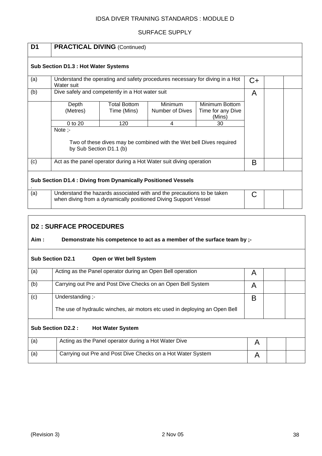### SURFACE SUPPLY

| D <sub>1</sub> |                                                                     | <b>PRACTICAL DIVING (Continued)</b>                                 |                                                                                                                                           |                                               |    |  |  |
|----------------|---------------------------------------------------------------------|---------------------------------------------------------------------|-------------------------------------------------------------------------------------------------------------------------------------------|-----------------------------------------------|----|--|--|
|                | Sub Section D1.3 : Hot Water Systems                                |                                                                     |                                                                                                                                           |                                               |    |  |  |
| (a)            | Water suit                                                          |                                                                     | Understand the operating and safety procedures necessary for diving in a Hot                                                              |                                               | C+ |  |  |
| (b)            |                                                                     | Dive safely and competently in a Hot water suit                     |                                                                                                                                           |                                               | A  |  |  |
|                | Depth<br>(Metres)                                                   | <b>Total Bottom</b><br>Time (Mins)                                  | Minimum<br>Number of Dives                                                                                                                | Minimum Bottom<br>Time for any Dive<br>(Mins) |    |  |  |
|                | 0 to 20                                                             | 120                                                                 | 4                                                                                                                                         | 30                                            |    |  |  |
|                | Note $-$<br>by Sub Section D1.1 (b)                                 | Two of these dives may be combined with the Wet bell Dives required |                                                                                                                                           |                                               |    |  |  |
| (c)            |                                                                     |                                                                     | Act as the panel operator during a Hot Water suit diving operation                                                                        |                                               | B  |  |  |
|                | <b>Sub Section D1.4: Diving from Dynamically Positioned Vessels</b> |                                                                     |                                                                                                                                           |                                               |    |  |  |
| (a)            |                                                                     |                                                                     | Understand the hazards associated with and the precautions to be taken<br>when diving from a dynamically positioned Diving Support Vessel |                                               | C  |  |  |

## **D2 : SURFACE PROCEDURES**

### Aim : Demonstrate his competence to act as a member of the surface team by ;-

| <b>Sub Section D2.1</b><br>Open or Wet bell System |                                                                             |   |  |  |  |  |
|----------------------------------------------------|-----------------------------------------------------------------------------|---|--|--|--|--|
| (a)                                                | Acting as the Panel operator during an Open Bell operation                  | A |  |  |  |  |
| (b)                                                | Carrying out Pre and Post Dive Checks on an Open Bell System                | A |  |  |  |  |
| (c)                                                | Understanding :-                                                            | В |  |  |  |  |
|                                                    | The use of hydraulic winches, air motors etc used in deploying an Open Bell |   |  |  |  |  |
|                                                    | Sub Section D2.2 :<br><b>Hot Water System</b>                               |   |  |  |  |  |
| (a)                                                | Acting as the Panel operator during a Hot Water Dive                        | A |  |  |  |  |
| (a)                                                | Carrying out Pre and Post Dive Checks on a Hot Water System                 | A |  |  |  |  |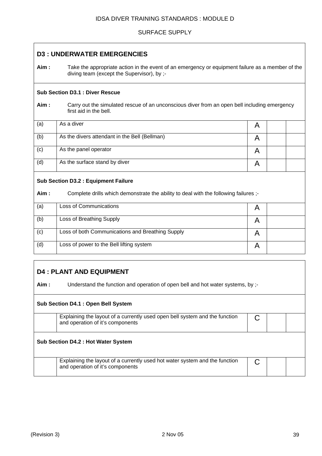#### SURFACE SUPPLY

## **D3 : UNDERWATER EMERGENCIES**

**Aim :** Take the appropriate action in the event of an emergency or equipment failure as a member of the diving team (except the Supervisor), by ;-

#### **Sub Section D3.1 : Diver Rescue**

**Aim :** Carry out the simulated rescue of an unconscious diver from an open bell including emergency first aid in the bell.

| (a) | As a diver                                    |  |  |
|-----|-----------------------------------------------|--|--|
| (b) | As the divers attendant in the Bell (Bellman) |  |  |
| (c) | As the panel operator                         |  |  |
| (d) | As the surface stand by diver                 |  |  |

#### **Sub Section D3.2 : Equipment Failure**

Aim : Complete drills which demonstrate the ability to deal with the following failures ;-

| (a) | Loss of Communications                           |  |
|-----|--------------------------------------------------|--|
| (b) | Loss of Breathing Supply                         |  |
| (c) | Loss of both Communications and Breathing Supply |  |
| (d) | Loss of power to the Bell lifting system         |  |

## **D4 : PLANT AND EQUIPMENT**

**Aim :** Understand the function and operation of open bell and hot water systems, by ;-

## **Sub Section D4.1 : Open Bell System**

Explaining the layout of a currently used open bell system and the function and operation of it's components

### **Sub Section D4.2 : Hot Water System**

Explaining the layout of a currently used hot water system and the function and operation of it's components

C

C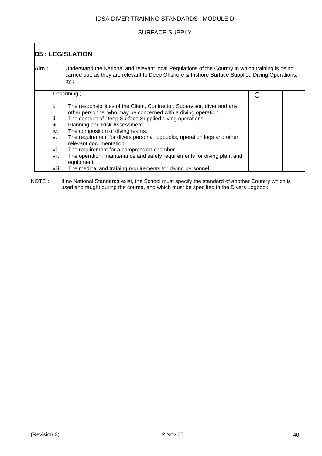#### SURFACE SUPPLY

| <b>D5: LEGISLATION</b> |                                                                                                                                                                                                                                                                                                                                                                                                                                                                                                                                                                  |   |  |  |  |
|------------------------|------------------------------------------------------------------------------------------------------------------------------------------------------------------------------------------------------------------------------------------------------------------------------------------------------------------------------------------------------------------------------------------------------------------------------------------------------------------------------------------------------------------------------------------------------------------|---|--|--|--|
| Aim :                  | Understand the National and relevant local Regulations of the Country in which training is being<br>carried out, as they are relevant to Deep Offshore & Inshore Surface Supplied Diving Operations,<br>by ;-                                                                                                                                                                                                                                                                                                                                                    |   |  |  |  |
|                        | Describing ;-                                                                                                                                                                                                                                                                                                                                                                                                                                                                                                                                                    | C |  |  |  |
|                        | The responsibilities of the Client, Contractor, Supervisor, diver and any<br>other personnel who may be concerned with a diving operation<br>The conduct of Deep Surface Supplied diving operations<br>ļii.<br>liii.<br>Planning and Risk Assessment.<br>The composition of diving teams.<br>iv.<br>The requirement for divers personal logbooks, operation logs and other<br>ν.<br>relevant documentation<br>The requirement for a compression chamber.<br>VI.<br>The operation, maintenance and safety requirements for diving plant and<br>VII.<br>equipment. |   |  |  |  |
|                        | The medical and training requirements for diving personnel.<br>VIII.                                                                                                                                                                                                                                                                                                                                                                                                                                                                                             |   |  |  |  |

NOTE : If no National Standards exist, the School must specify the standard of another Country which is used and taught during the course, and which must be specified in the Divers Logbook.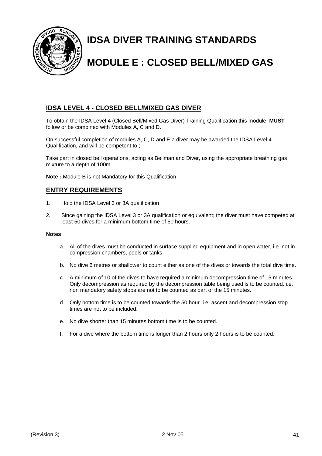

## **IDSA DIVER TRAINING STANDARDS**

## **MODULE E : CLOSED BELL/MIXED GAS**

## **IDSA LEVEL 4 - CLOSED BELL/MIXED GAS DIVER**

To obtain the IDSA Level 4 (Closed Bell/Mixed Gas Diver) Training Qualification this module **MUST** follow or be combined with Modules A, C and D.

On successful completion of modules A, C, D and E a diver may be awarded the IDSA Level 4 Qualification, and will be competent to ;-

Take part in closed bell operations, acting as Bellman and Diver, using the appropriate breathing gas mixture to a depth of 100m.

**Note :** Module B is not Mandatory for this Qualification

## **ENTRY REQUIREMENTS**

- 1. Hold the IDSA Level 3 or 3A qualification
- 2. Since gaining the IDSA Level 3 or 3A qualification or equivalent; the diver must have competed at least 50 dives for a minimum bottom time of 50 hours.

#### **Notes**

- a. All of the dives must be conducted in surface supplied equipment and in open water, i.e. not in compression chambers, pools or tanks.
- b. No dive 6 metres or shallower to count either as one of the dives or towards the total dive time.
- c. A minimum of 10 of the dives to have required a minimum decompression time of 15 minutes. Only decompression as required by the decompression table being used is to be counted. i.e. non mandatory safety stops are not to be counted as part of the 15 minutes.
- d. Only bottom time is to be counted towards the 50 hour. i.e. ascent and decompression stop times are not to be included.
- e. No dive shorter than 15 minutes bottom time is to be counted.
- f. For a dive where the bottom time is longer than 2 hours only 2 hours is to be counted.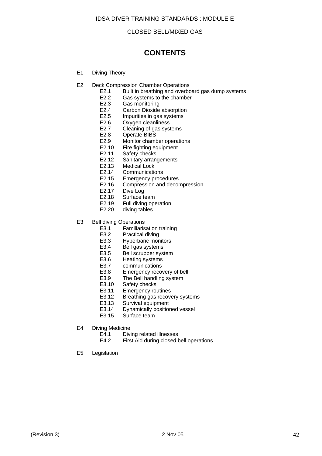#### CLOSED BELL/MIXED GAS

## **CONTENTS**

- E1 Diving Theory
- E2 Deck Compression Chamber Operations
	- E2.1 Built in breathing and overboard gas dump systems<br>E2.2 Gas systems to the chamber
		- E2.2 Gas systems to the chamber<br>E2.3 Gas monitoring
		- Gas monitoring
		- E2.4 Carbon Dioxide absorption<br>E2.5 Impurities in gas systems
		- E2.5 Impurities in gas systems<br>E2.6 Oxygen cleanliness
		- Oxygen cleanliness
		- E2.7 Cleaning of gas systems
		- E2.8 Operate BIBS
		- E2.9 Monitor chamber operations
		- E2.10 Fire fighting equipment
		- E2.11 Safety checks
		- E2.12 Sanitary arrangements
		- E2.13 Medical Lock
		- E2.14 Communications
		- E2.15 Emergency procedures
		- E2.16 Compression and decompression<br>E2.17 Dive Log
			- Dive Log
		- E2.18 Surface team
		- E2.19 Full diving operation
		- E2.20 diving tables
- E3 Bell diving Operations
	- E3.1 Familiarisation training<br>E3.2 Practical diving
	- Practical diving
	- E3.3 Hyperbaric monitors<br>E3.4 Bell gas systems
	- E3.4 Bell gas systems<br>E3.5 Bell scrubber sys
	- Bell scrubber system
	- E3.6 Heating systems
	- E3.7 communications
	- E3.8 Emergency recovery of bell
	- E3.9 The Bell handling system
	- E3.10 Safety checks
	- E3.11 Emergency routines
	- E3.12 Breathing gas recovery systems
	- E3.13 Survival equipment
	- E3.14 Dynamically positioned vessel
	- E3.15 Surface team
- E4 Diving Medicine
	- E4.1 Diving related illnesses
	- E4.2 First Aid during closed bell operations
- E5 Legislation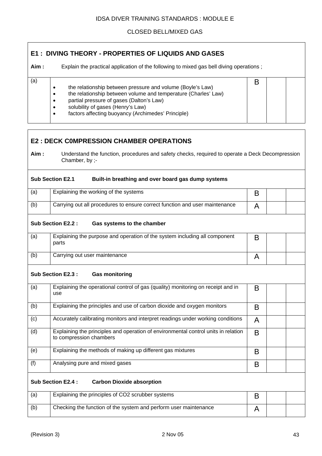### CLOSED BELL/MIXED GAS

B

## **E1 : DIVING THEORY - PROPERTIES OF LIQUIDS AND GASES**

**Aim :** Explain the practical application of the following to mixed gas bell diving operations ;

## • the relationship between pressure and volume (Boyle's Law)

- the relationship between volume and temperature (Charles' Law)
- partial pressure of gases (Dalton's Law)
- solubility of gases (Henry's Law)

 $\overline{a}$ 

• factors affecting buoyancy (Archimedes' Principle)

## **E2 : DECK C0MPRESSION CHAMBER OPERATIONS Aim :** Understand the function, procedures and safety checks, required to operate a Deck Decompression Chamber, by ;- **Sub Section E2.1 Built-in breathing and over board gas dump systems**  (a)  $\vert$  Explaining the working of the systems  $\vert$  B (b)  $\Box$  Carrying out all procedures to ensure correct function and user maintenance  $\Box$  A **Sub Section E2.2 : Gas systems to the chamber**  (a) Explaining the purpose and operation of the system including all component parts B (b) Carrying out user maintenance A and A A **Sub Section E2.3 : Gas monitoring**  (a) Explaining the operational control of gas (quality) monitoring on receipt and in use B (b) Explaining the principles and use of carbon dioxide and oxygen monitors **B** (c)  $\vert$  Accurately calibrating monitors and interpret readings under working conditions  $\vert$  A (d) Explaining the principles and operation of environmental control units in relation to compression chambers B (e)  $\vert$  Explaining the methods of making up different gas mixtures  $\vert$  R (f)  $|$  Analysing pure and mixed gases  $|$  B **Sub Section E2.4 : Carbon Dioxide absorption** (a) Explaining the principles of CO2 scrubber systems B (b) Checking the function of the system and perform user maintenance A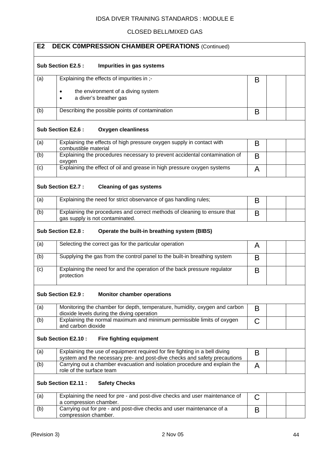### CLOSED BELL/MIXED GAS

| E2  | <b>DECK COMPRESSION CHAMBER OPERATIONS (Continued)</b>                                                                                                   |   |  |
|-----|----------------------------------------------------------------------------------------------------------------------------------------------------------|---|--|
|     | Sub Section E2.5 :<br>Impurities in gas systems                                                                                                          |   |  |
| (a) | Explaining the effects of impurities in ;-                                                                                                               | B |  |
|     | the environment of a diving system<br>$\bullet$                                                                                                          |   |  |
|     | a diver's breather gas                                                                                                                                   |   |  |
| (b) | Describing the possible points of contamination                                                                                                          | B |  |
|     | Sub Section E2.6 :<br><b>Oxygen cleanliness</b>                                                                                                          |   |  |
| (a) | Explaining the effects of high pressure oxygen supply in contact with<br>combustible material                                                            | B |  |
| (b) | Explaining the procedures necessary to prevent accidental contamination of<br>oxygen                                                                     | B |  |
| (c) | Explaining the effect of oil and grease in high pressure oxygen systems                                                                                  | A |  |
|     | Sub Section E2.7 :<br><b>Cleaning of gas systems</b>                                                                                                     |   |  |
| (a) | Explaining the need for strict observance of gas handling rules;                                                                                         | B |  |
| (b) | Explaining the procedures and correct methods of cleaning to ensure that<br>gas supply is not contaminated.                                              | B |  |
|     | Sub Section E2.8 :<br>Operate the built-in breathing system (BIBS)                                                                                       |   |  |
| (a) | Selecting the correct gas for the particular operation                                                                                                   | A |  |
| (b) | Supplying the gas from the control panel to the built-in breathing system                                                                                | B |  |
| (c) | Explaining the need for and the operation of the back pressure regulator<br>protection                                                                   | B |  |
|     | Sub Section E2.9 :<br><b>Monitor chamber operations</b>                                                                                                  |   |  |
| (a) | Monitoring the chamber for depth, temperature, humidity, oxygen and carbon<br>dioxide levels during the diving operation                                 | B |  |
| (b) | Explaining the normal maximum and minimum permissible limits of oxygen<br>and carbon dioxide                                                             | C |  |
|     | Sub Section E2.10 :<br><b>Fire fighting equipment</b>                                                                                                    |   |  |
| (a) | Explaining the use of equipment required for fire fighting in a bell diving<br>system and the necessary pre- and post-dive checks and safety precautions | B |  |
| (b) | Carrying out a chamber evacuation and isolation procedure and explain the<br>role of the surface team                                                    | A |  |
|     | Sub Section E2.11 :<br><b>Safety Checks</b>                                                                                                              |   |  |
| (a) | Explaining the need for pre - and post-dive checks and user maintenance of<br>a compression chamber.                                                     | C |  |
| (b) | Carrying out for pre - and post-dive checks and user maintenance of a<br>compression chamber.                                                            | B |  |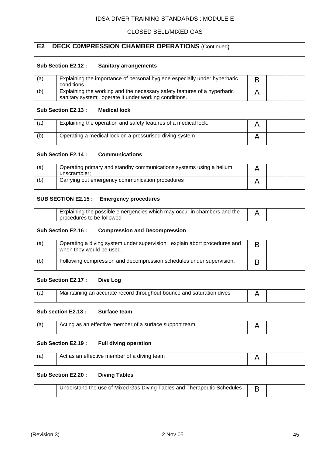## CLOSED BELL/MIXED GAS

| E <sub>2</sub><br><b>DECK COMPRESSION CHAMBER OPERATIONS (Continued)</b>                                                                 |   |  |
|------------------------------------------------------------------------------------------------------------------------------------------|---|--|
| Sub Section E2.12 :<br><b>Sanitary arrangements</b>                                                                                      |   |  |
| Explaining the importance of personal hygiene especially under hyperbaric<br>(a)<br>conditions                                           | B |  |
| Explaining the working and the necessary safety features of a hyperbaric<br>(b)<br>sanitary system; operate it under working conditions. | A |  |
| Sub Section E2.13 :<br><b>Medical lock</b>                                                                                               |   |  |
| Explaining the operation and safety features of a medical lock.<br>(a)                                                                   | A |  |
| Operating a medical lock on a pressurised diving system<br>(b)                                                                           | A |  |
| <b>Communications</b><br>Sub Section E2.14 :                                                                                             |   |  |
| (a)<br>Operating primary and standby communications systems using a helium<br>unscrambler;                                               | A |  |
| (b)<br>Carrying out emergency communication procedures                                                                                   | A |  |
| <b>Emergency procedures</b><br><b>SUB SECTION E2.15:</b>                                                                                 |   |  |
| Explaining the possible emergencies which may occur in chambers and the<br>procedures to be followed                                     | A |  |
| Sub Section E2.16:<br><b>Compression and Decompression</b>                                                                               |   |  |
| Operating a diving system under supervision; explain abort procedures and<br>(a)<br>when they would be used.                             | B |  |
| Following compression and decompression schedules under supervision.<br>(b)                                                              | B |  |
| <b>Sub Section E2.17:</b><br>Dive Log                                                                                                    |   |  |
| Maintaining an accurate record throughout bounce and saturation dives<br>(a)                                                             | A |  |
| Sub section E2.18 :<br><b>Surface team</b>                                                                                               |   |  |
| Acting as an effective member of a surface support team.<br>(a)                                                                          | A |  |
| Sub Section E2.19:<br><b>Full diving operation</b>                                                                                       |   |  |
| Act as an effective member of a diving team<br>(a)                                                                                       | A |  |
| Sub Section E2.20:<br><b>Diving Tables</b>                                                                                               |   |  |
| Understand the use of Mixed Gas Diving Tables and Therapeutic Schedules                                                                  | B |  |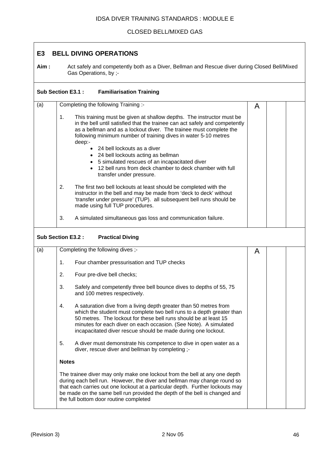### CLOSED BELL/MIXED GAS

## **E3 BELL DIVING OPERATIONS**

**Aim :** Act safely and competently both as a Diver, Bellman and Rescue diver during Closed Bell/Mixed Gas Operations, by ;-

|     | Sub Section E3.1 :<br><b>Familiarisation Training</b>                                                                                                                                                                                                                                                                                                           |   |  |  |  |
|-----|-----------------------------------------------------------------------------------------------------------------------------------------------------------------------------------------------------------------------------------------------------------------------------------------------------------------------------------------------------------------|---|--|--|--|
| (a) | Completing the following Training :-                                                                                                                                                                                                                                                                                                                            | A |  |  |  |
|     | 1.<br>This training must be given at shallow depths. The instructor must be<br>in the bell until satisfied that the trainee can act safely and competently<br>as a bellman and as a lockout diver. The trainee must complete the<br>following minimum number of training dives in water 5-10 metres<br>deep:-                                                   |   |  |  |  |
|     | • 24 bell lockouts as a diver<br>• 24 bell lockouts acting as bellman<br>5 simulated rescues of an incapacitated diver<br>$\bullet$<br>12 bell runs from deck chamber to deck chamber with full<br>$\bullet$<br>transfer under pressure.                                                                                                                        |   |  |  |  |
|     | 2.<br>The first two bell lockouts at least should be completed with the<br>instructor in the bell and may be made from 'deck to deck' without<br>'transfer under pressure' (TUP). all subsequent bell runs should be<br>made using full TUP procedures.                                                                                                         |   |  |  |  |
|     | 3.<br>A simulated simultaneous gas loss and communication failure.                                                                                                                                                                                                                                                                                              |   |  |  |  |
|     | Sub Section E3.2 :<br><b>Practical Diving</b>                                                                                                                                                                                                                                                                                                                   |   |  |  |  |
| (a) | Completing the following dives ;-                                                                                                                                                                                                                                                                                                                               | A |  |  |  |
|     | 1.<br>Four chamber pressurisation and TUP checks                                                                                                                                                                                                                                                                                                                |   |  |  |  |
|     | 2.<br>Four pre-dive bell checks;                                                                                                                                                                                                                                                                                                                                |   |  |  |  |
|     | 3.<br>Safely and competently three bell bounce dives to depths of 55, 75<br>and 100 metres respectively.                                                                                                                                                                                                                                                        |   |  |  |  |
|     | A saturation dive from a living depth greater than 50 metres from<br>4.<br>which the student must complete two bell runs to a depth greater than<br>50 metres. The lockout for these bell runs should be at least 15<br>minutes for each diver on each occasion. (See Note). A simulated<br>incapacitated diver rescue should be made during one lockout.       |   |  |  |  |
|     | 5.<br>A diver must demonstrate his competence to dive in open water as a<br>diver, rescue diver and bellman by completing ;-                                                                                                                                                                                                                                    |   |  |  |  |
|     | <b>Notes</b>                                                                                                                                                                                                                                                                                                                                                    |   |  |  |  |
|     | The trainee diver may only make one lockout from the bell at any one depth<br>during each bell run. However, the diver and bellman may change round so<br>that each carries out one lockout at a particular depth. Further lockouts may<br>be made on the same bell run provided the depth of the bell is changed and<br>the full bottom door routine completed |   |  |  |  |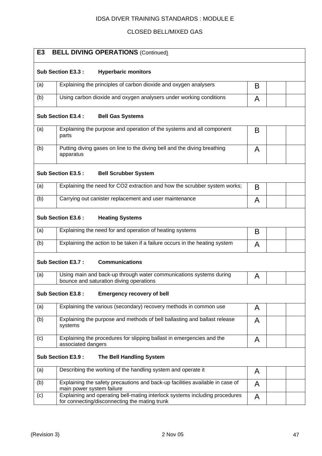## CLOSED BELL/MIXED GAS

| E <sub>3</sub> | <b>BELL DIVING OPERATIONS (Continued)</b>                                                                                    |   |  |  |  |  |  |
|----------------|------------------------------------------------------------------------------------------------------------------------------|---|--|--|--|--|--|
|                | Sub Section E3.3 :<br><b>Hyperbaric monitors</b>                                                                             |   |  |  |  |  |  |
| (a)            | Explaining the principles of carbon dioxide and oxygen analysers<br>B                                                        |   |  |  |  |  |  |
| (b)            | Using carbon dioxide and oxygen analysers under working conditions                                                           | A |  |  |  |  |  |
|                | <b>Sub Section E3.4:</b><br><b>Bell Gas Systems</b>                                                                          |   |  |  |  |  |  |
| (a)            | Explaining the purpose and operation of the systems and all component<br>parts                                               | B |  |  |  |  |  |
| (b)            | Putting diving gases on line to the diving bell and the diving breathing<br>apparatus                                        | A |  |  |  |  |  |
|                | Sub Section E3.5 :<br><b>Bell Scrubber System</b>                                                                            |   |  |  |  |  |  |
| (a)            | Explaining the need for CO2 extraction and how the scrubber system works;                                                    | B |  |  |  |  |  |
| (b)            | Carrying out canister replacement and user maintenance                                                                       | A |  |  |  |  |  |
|                | Sub Section E3.6 :<br><b>Heating Systems</b>                                                                                 |   |  |  |  |  |  |
| (a)            | Explaining the need for and operation of heating systems                                                                     | B |  |  |  |  |  |
| (b)            | Explaining the action to be taken if a failure occurs in the heating system                                                  | A |  |  |  |  |  |
|                | <b>Communications</b><br><b>Sub Section E3.7:</b>                                                                            |   |  |  |  |  |  |
| (a)            | Using main and back-up through water communications systems during<br>bounce and saturation diving operations                | A |  |  |  |  |  |
|                | Sub Section E3.8 :<br><b>Emergency recovery of bell</b>                                                                      |   |  |  |  |  |  |
| (a)            | Explaining the various (secondary) recovery methods in common use                                                            | A |  |  |  |  |  |
| (b)            | Explaining the purpose and methods of bell ballasting and ballast release<br>systems                                         | A |  |  |  |  |  |
| (c)            | Explaining the procedures for slipping ballast in emergencies and the<br>associated dangers                                  | A |  |  |  |  |  |
|                | Sub Section E3.9 :<br>The Bell Handling System                                                                               |   |  |  |  |  |  |
| (a)            | Describing the working of the handling system and operate it                                                                 | A |  |  |  |  |  |
| (b)            | Explaining the safety precautions and back-up facilities available in case of<br>main power system failure                   | A |  |  |  |  |  |
| (c)            | Explaining and operating bell-mating interlock systems including procedures<br>for connecting/disconnecting the mating trunk | A |  |  |  |  |  |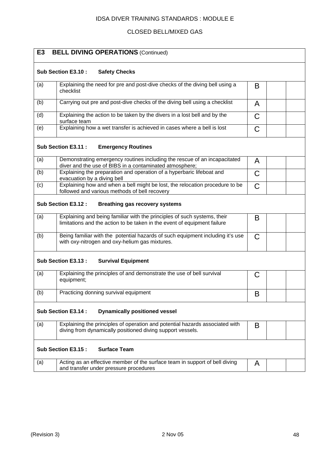## CLOSED BELL/MIXED GAS

| E <sub>3</sub> | <b>BELL DIVING OPERATIONS (Continued)</b>                                                                                                            |   |  |  |
|----------------|------------------------------------------------------------------------------------------------------------------------------------------------------|---|--|--|
|                | Sub Section E3.10 :<br><b>Safety Checks</b>                                                                                                          |   |  |  |
| (a)            | Explaining the need for pre and post-dive checks of the diving bell using a<br>checklist                                                             | B |  |  |
| (b)            | Carrying out pre and post-dive checks of the diving bell using a checklist                                                                           | A |  |  |
| (d)            | Explaining the action to be taken by the divers in a lost bell and by the<br>surface team                                                            | C |  |  |
| (e)            | Explaining how a wet transfer is achieved in cases where a bell is lost                                                                              | С |  |  |
|                | Sub Section E3.11 :<br><b>Emergency Routines</b>                                                                                                     |   |  |  |
| (a)            | Demonstrating emergency routines including the rescue of an incapacitated<br>diver and the use of BIBS in a contaminated atmosphere;                 | A |  |  |
| (b)            | Explaining the preparation and operation of a hyperbaric lifeboat and<br>evacuation by a diving bell                                                 | С |  |  |
| (c)            | Explaining how and when a bell might be lost, the relocation procedure to be<br>followed and various methods of bell recovery                        | C |  |  |
|                | Sub Section E3.12 :<br><b>Breathing gas recovery systems</b>                                                                                         |   |  |  |
| (a)            | Explaining and being familiar with the principles of such systems, their<br>limitations and the action to be taken in the event of equipment failure | B |  |  |
| (b)            | Being familiar with the potential hazards of such equipment including it's use<br>with oxy-nitrogen and oxy-helium gas mixtures.                     | С |  |  |
|                | Sub Section E3.13 :<br><b>Survival Equipment</b>                                                                                                     |   |  |  |
| (a)            | Explaining the principles of and demonstrate the use of bell survival<br>equipment;                                                                  | C |  |  |
| (b)            | Practicing donning survival equipment                                                                                                                | B |  |  |
|                | Sub Section E3.14 :<br><b>Dynamically positioned vessel</b>                                                                                          |   |  |  |
| (a)            | Explaining the principles of operation and potential hazards associated with<br>diving from dynamically positioned diving support vessels.           | B |  |  |
|                | Sub Section E3.15:<br><b>Surface Team</b>                                                                                                            |   |  |  |
| (a)            | Acting as an effective member of the surface team in support of bell diving<br>and transfer under pressure procedures                                | A |  |  |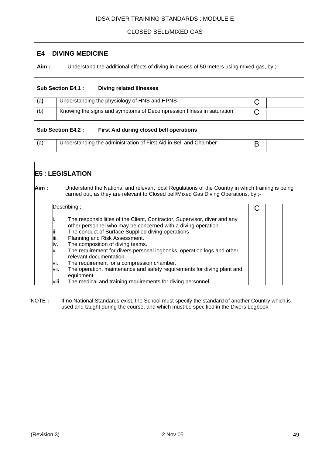## CLOSED BELL/MIXED GAS

## **E4 DIVING MEDICINE**

**Aim :** Understand the additional effects of diving in excess of 50 meters using mixed gas, by ;-

|     | <b>Sub Section E4.1:</b><br><b>Diving related illnesses</b>                |   |  |  |  |
|-----|----------------------------------------------------------------------------|---|--|--|--|
| (a) | Understanding the physiology of HNS and HPNS<br>С                          |   |  |  |  |
| (b) | Knowing the signs and symptoms of Decompression Illness in saturation<br>С |   |  |  |  |
|     | Sub Section E4.2:<br>First Aid during closed bell operations               |   |  |  |  |
| (a) | Understanding the administration of First Aid in Bell and Chamber          | B |  |  |  |

## **E5** : **LEGISLATION Aim :** Understand the National and relevant local Regulations of the Country in which training is being carried out, as they are relevant to Closed bell/Mixed Gas Diving Operations, by ;- Describing ;- The responsibilities of the Client, Contractor, Supervisor, diver and any other personnel who may be concerned with a diving operation The conduct of Surface Supplied diving operations iii. Planning and Risk Assessment. iv. The composition of diving teams. v. The requirement for divers personal logbooks, operation logs and other relevant documentation vi. The requirement for a compression chamber. vii. The operation, maintenance and safety requirements for diving plant and equipment. viii. The medical and training requirements for diving personnel.  $\mathcal{C}$

NOTE : If no National Standards exist, the School must specify the standard of another Country which is used and taught during the course, and which must be specified in the Divers Logbook.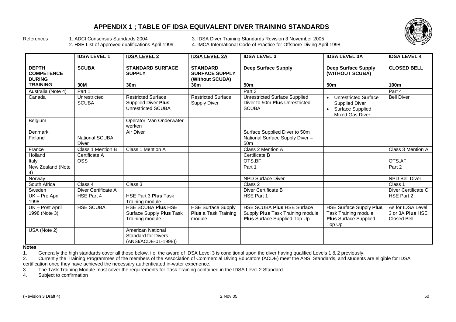## **APPENDIX 1 ; TABLE OF IDSA EQUIVALENT DIVER TRAINING STANDARDS**



References : 1. ADCI Consensus Standards 2004 3. IDSA Diver Training Standards Revision 3 November 2005<br>2. HSE List of approved qualifications April 1999 4. IMCA International Code of Practice for Offshore Diving Apr

4. IMCA International Code of Practice for Offshore Diving April 1998

|                                                    | <b>IDSA LEVEL 1</b>          | <b>IDSA LEVEL 2</b>                                                                  | <b>IDSA LEVEL 2A</b>                                               | <b>IDSA LEVEL 3</b>                                                                                   | <b>IDSA LEVEL 3A</b>                                                                                                         | <b>IDSA LEVEL 4</b>                                  |
|----------------------------------------------------|------------------------------|--------------------------------------------------------------------------------------|--------------------------------------------------------------------|-------------------------------------------------------------------------------------------------------|------------------------------------------------------------------------------------------------------------------------------|------------------------------------------------------|
| <b>DEPTH</b><br><b>COMPETENCE</b><br><b>DURING</b> | <b>SCUBA</b>                 | <b>STANDARD SURFACE</b><br><b>SUPPLY</b>                                             | <b>STANDARD</b><br><b>SURFACE SUPPLY</b><br>(Without SCUBA)        | <b>Deep Surface Supply</b>                                                                            | <b>Deep Surface Supply</b><br>(WITHOUT SCUBA)                                                                                | <b>CLOSED BELL</b>                                   |
| <b>TRAINING</b>                                    | 30M                          | 30 <sub>m</sub>                                                                      | 30 <sub>m</sub>                                                    | 50 <sub>m</sub>                                                                                       | 50 <sub>m</sub>                                                                                                              | 100m                                                 |
| Australia (Note 4)                                 | Part 1                       |                                                                                      |                                                                    | Part 3                                                                                                |                                                                                                                              | Part 4                                               |
| Canada                                             | Unrestricted<br><b>SCUBA</b> | <b>Restricted Surface</b><br><b>Supplied Diver Plus</b><br><b>Unrestricted SCUBA</b> | <b>Restricted Surface</b><br><b>Supply Diver</b>                   | <b>Unrestricted Surface Supplied</b><br>Diver to 50m Plus Unrestricted<br><b>SCUBA</b>                | <b>Unrestricted Surface</b><br>$\bullet$<br><b>Supplied Diver</b><br>Surface Supplied<br>$\bullet$<br><b>Mixed Gas Diver</b> | <b>Bell Diver</b>                                    |
| Belgium                                            |                              | Operator Van Onderwater<br>werken                                                    |                                                                    |                                                                                                       |                                                                                                                              |                                                      |
| Denmark                                            |                              | Air Diver                                                                            |                                                                    | Surface Supplied Diver to 50m                                                                         |                                                                                                                              |                                                      |
| Finland                                            | National SCUBA<br>Diver      |                                                                                      |                                                                    | National Surface Supply Diver -<br>50 <sub>m</sub>                                                    |                                                                                                                              |                                                      |
| France                                             | Class 1 Mention B            | Class 1 Mention A                                                                    |                                                                    | Class 2 Mention A                                                                                     |                                                                                                                              | Class 3 Mention A                                    |
| Holland                                            | Certificate A                |                                                                                      |                                                                    | Certificate B                                                                                         |                                                                                                                              |                                                      |
| Italy                                              | <b>OSS</b>                   |                                                                                      |                                                                    | OTS.BF                                                                                                |                                                                                                                              | OTS.AF                                               |
| New Zealand (Note<br>4)                            |                              |                                                                                      |                                                                    | Part 1                                                                                                |                                                                                                                              | Part 2                                               |
| Norway                                             |                              |                                                                                      |                                                                    | <b>NPD Surface Diver</b>                                                                              |                                                                                                                              | <b>NPD Bell Diver</b>                                |
| South Africa                                       | Class 4                      | Class 3                                                                              |                                                                    | Class 2                                                                                               |                                                                                                                              | Class 1                                              |
| Sweden                                             | Diver Certificate A          |                                                                                      |                                                                    | Diver Certificate B                                                                                   |                                                                                                                              | Diver Certificate C                                  |
| $\overline{UK}$ – Pre April<br>1998                | HSE Part 4                   | HSE Part 3 Plus Task<br>Training module                                              |                                                                    | HSE Part 1                                                                                            |                                                                                                                              | HSE Part 2                                           |
| UK - Post April<br>1998 (Note 3)                   | <b>HSE SCUBA</b>             | HSE SCUBA Plus HSE<br>Surface Supply Plus Task<br>Training module.                   | <b>HSE Surface Supply</b><br><b>Plus a Task Training</b><br>module | HSE SCUBA Plus HSE Surface<br>Supply Plus Task Training module<br><b>Plus</b> Surface Supplied Top Up | <b>HSE Surface Supply Plus</b><br><b>Task Training module</b><br><b>Plus Surface Supplied</b><br>Top Up                      | As for IDSA Level<br>3 or 3A Plus HSE<br>Closed Bell |
| USA (Note 2)                                       |                              | American National<br><b>Standard for Divers</b><br>(ANSI/ACDE-01-1998))              |                                                                    |                                                                                                       |                                                                                                                              |                                                      |

**Notes** 

1. Generally the high standards cover all those below, i.e. the award of IDSA Level 3 is conditional upon the diver having qualified Levels 1 & 2 previously.

2. Currently the Training Programmes of the members of the Association of Commercial Diving Educators (ACDE) meet the ANSI Standards, and students are eligible for IDSA certification once they have achieved the necessary authenticated in-water experience.

3. The Task Training Module must cover the requirements for Task Training contained in the IDSA Level 2 Standard.

4. Subject to confirmation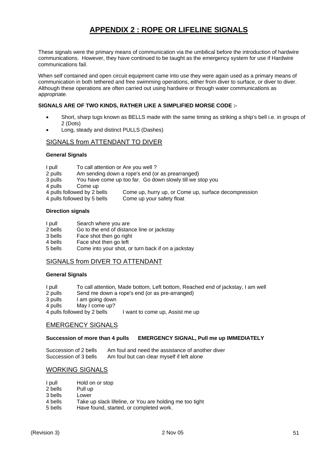## **APPENDIX 2 : ROPE OR LIFELINE SIGNALS**

These signals were the primary means of communication via the umbilical before the introduction of hardwire communications. However, they have continued to be taught as the emergency system for use if Hardwire communications fail.

When self contained and open circuit equipment came into use they were again used as a primary means of communication in both tethered and free swimming operations, either from diver to surface, or diver to diver. Although these operations are often carried out using hardwire or through water communications as appropriate.

#### **SIGNALS ARE OF TWO KINDS, RATHER LIKE A SIMPLIFIED MORSE CODE :-**

- Short, sharp tugs known as BELLS made with the same timing as striking a ship's bell i.e. in groups of 2 (Dots)
- Long, steady and distinct PULLS (Dashes)

#### SIGNALS from ATTENDANT TO DIVER

#### **General Signals**

| I pull | To call attention or Are you well? |
|--------|------------------------------------|
|--------|------------------------------------|

- 2 pulls Am sending down a rope's end (or as prearranged)
- 3 pulls You have come up too far. Go down slowly till we stop you
- 
- 4 pulls Come up<br>4 pulls followed by 2 bells Come up, hurry up, or Come up, surface decompression
- 4 pulls followed by 5 bells Come up your safety float

#### **Direction signals**

- I pull Search where you are
- 2 bells Go to the end of distance line or jackstay
- 3 bells Face shot then go right
- 4 bells Face shot then go left
- 5 bells Come into your shot, or turn back if on a jackstay

### SIGNALS from DIVER TO ATTENDANT

#### **General Signals**

- I pull To call attention, Made bottom, Left bottom, Reached end of jackstay, I am well
- 2 pulls Send me down a rope's end (or as pre-arranged)
- 3 pulls I am going down
- 4 pulls May I come up?
- 4 pulls followed by 2 bells I want to come up, Assist me up

#### EMERGENCY SIGNALS

#### **Succession of more than 4 pulls EMERGENCY SIGNAL, Pull me up IMMEDIATELY**

Succession of 2 bells Am foul and need the assistance of another diver Succession of 3 bells Am foul but can clear myself if left alone

#### WORKING SIGNALS

| I pull  | Hold on or stop                                         |
|---------|---------------------------------------------------------|
| 2 bells | Pull up                                                 |
| 3 bells | Lower                                                   |
| 4 bells | Take up slack lifeline, or You are holding me too tight |
| 5 bells | Have found, started, or completed work.                 |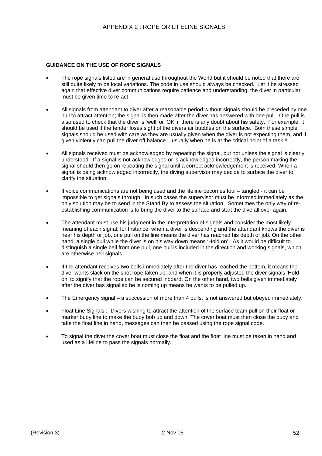#### **GUIDANCE ON THE USE OF ROPE SIGNALS**

- The rope signals listed are in general use throughout the World but it should be noted that there are still quite likely to be local variations. The code in use should always be checked. Let it be stressed again that effective diver communications require patience and understanding, the diver in particular must be given time to re-act.
- All signals from attendant to diver after a reasonable period without signals should be preceded by one pull to attract attention; the signal is then made after the diver has answered with one pull. One pull is also used to check that the diver is 'well' or 'OK' if there is any doubt about his safety. For example, it should be used if the tender loses sight of the divers air bubbles on the surface. Both these simple signals should be used with care as they are usually given when the diver is not expecting them, and if given violently can pull the diver off balance – usually when he is at the critical point of a task !!
- All signals received must be acknowledged by repeating the signal, but not unless the signal is clearly understood. If a signal is not acknowledged or is acknowledged incorrectly, the person making the signal should then go on repeating the signal until a correct acknowledgement is received. When a signal is being acknowledged incorrectly, the diving supervisor may decide to surface the diver to clarify the situation.
- If voice communications are not being used and the lifeline becomes foul tangled it can be impossible to get signals through. In such cases the supervisor must be informed immediately as the only solution may be to send in the Stand By to assess the situation. Sometimes the only way of reestablishing communication is to bring the diver to the surface and start the dive all over again.
- The attendant must use his judgment in the interpretation of signals and consider the most likely meaning of each signal; for Instance, when a diver is descending and the attendant knows the diver is near his depth or job, one pull on the line means the diver has reached his depth or job. On the other hand, a single pull while the diver is on his way down means 'Hold on'. As it would be difficult to distinguish a single bell from one pull, one pull is included in the direction and working signals, which are otherwise bell signals.
- If the attendant receives two bells immediately after the diver has reached the bottom, it means the diver wants slack on the shot rope taken up; and when it is properly adjusted the diver signals 'Hold on' to signify that the rope can be secured inboard. On the other hand, two bells given immediately after the diver has signalled he is coming up means he wants to be pulled up.
- The Emergency signal a succession of more than 4 pulls, is not answered but obeyed immediately.
- Float Line Signals ;- Divers wishing to attract the attention of the surface team pull on their float or marker buoy line to make the buoy bob up and down The cover boat must then close the buoy and take the float line in hand, messages can then be passed using the rope signal code.
- To signal the diver the cover boat must close the float and the float line must be taken in hand and used as a lifeline to pass the signals normally.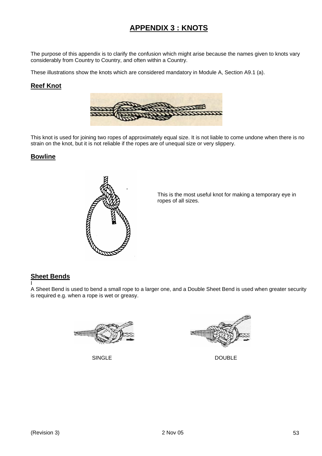## **APPENDIX 3 : KNOTS**

The purpose of this appendix is to clarify the confusion which might arise because the names given to knots vary considerably from Country to Country, and often within a Country.

These illustrations show the knots which are considered mandatory in Module A, Section A9.1 (a).

### **Reef Knot**



This knot is used for joining two ropes of approximately equal size. It is not liable to come undone when there is no strain on the knot, but it is not reliable if the ropes are of unequal size or very slippery.

### **Bowline**



 This is the most useful knot for making a temporary eye in ropes of all sizes.

## **Sheet Bends**

I A Sheet Bend is used to bend a small rope to a larger one, and a Double Sheet Bend is used when greater security is required e.g. when a rope is wet or greasy.





SINGLE DOUBLE